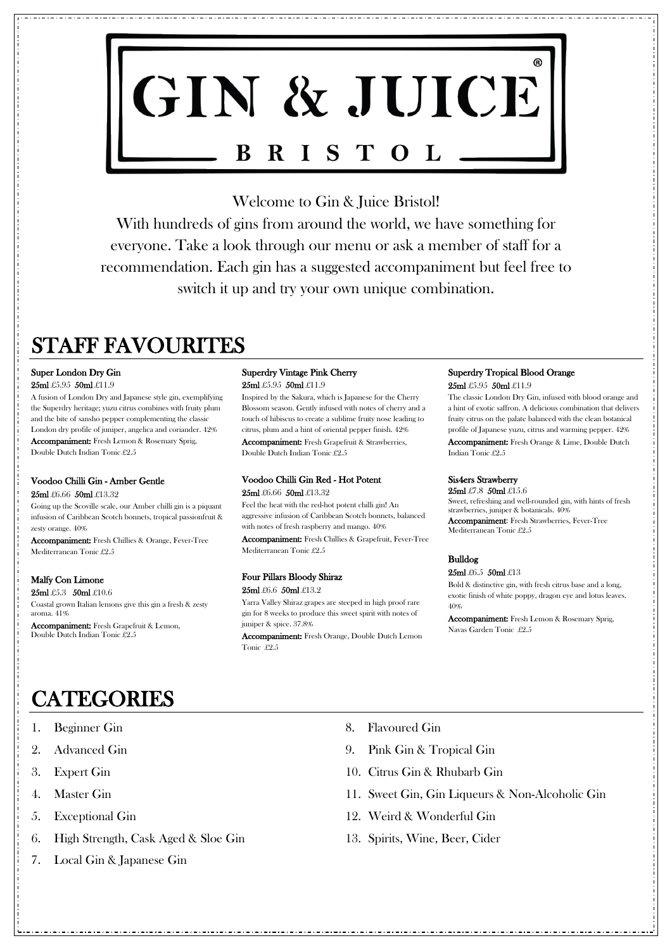

Welcome to Gin & Juice Bristol!

With hundreds of gins from around the world, we have something for everyone. Take a look through our menu or ask a member of staff for a recommendation. Each gin has a suggested accompaniment but feel free to switch it up and try your own unique combination.

# STAFF FAVOURITES

1. Beginner Gin

- 2. Advanced Gin
- 3. Expert Gin
- 4. Master Gin
- 5. Exceptional Gin
- 6. High Strength, Cask Aged & Sloe Gin
- 7. Local Gin & Japanese Gin
- 8. Flavoured Gin
- 9. Pink Gin & Tropical Gin
- 10. Citrus Gin & Rhubarb Gin
- 11. Sweet Gin, Gin Liqueurs & Non-Alcoholic Gin
- 12. Weird & Wonderful Gin
- 13. Spirits, Wine, Beer, Cider

# Super London Dry Gin

25ml £5.95 50ml £11.9

# Superdry Vintage Pink Cherry 25ml £5.95 50ml £11.9

A fusion of London Dry and Japanese style gin, exemplifying the Superdry heritage; yuzu citrus combines with fruity plum and the bite of sansho pepper complementing the classic London dry profile of juniper, angelica and coriander. 42% Accompaniment: Fresh Lemon & Rosemary Sprig, Double Dutch Indian Tonic £2.5

# Voodoo Chilli Gin Red - Hot Potent 25ml £6.66 50ml £13.32

# Voodoo Chilli Gin - Amber Gentle

#### 25ml £6.66 50ml £13.32

Going up the Scoville scale, our Amber chilli gin is a piquant infusion of Caribbean Scotch bonnets, tropical passionfruit & zesty orange. 40%

Accompaniment: Fresh Chillies & Orange, Fever-Tree Mediterranean Tonic £2.5

# Malfy Con Limone

25ml £5.3 50ml £10.6

Coastal grown Italian lemons give this gin a fresh & zesty aroma. 41%

Accompaniment: Fresh Grapefruit & Lemon, Double Dutch Indian Tonic £2.5

25ml £7.8 50ml £15.6 Sweet, refreshing and well-rounded gin, with hints of fresh strawberries, juniper & botanicals. 40% Accompaniment: Fresh Strawberries, Fever-Tree Mediterranean Tonic £2.5

Inspired by the Sakura, which is Japanese for the Cherry Blossom season. Gently infused with notes of cherry and a touch of hibiscus to create a sublime fruity nose leading to citrus, plum and a hint of oriental pepper finish. 42% Accompaniment: Fresh Grapefruit & Strawberries, Double Dutch Indian Tonic £2.5

Feel the heat with the red-hot potent chilli gin! An aggressive infusion of Caribbean Scotch bonnets, balanced with notes of fresh raspberry and mango. 40%

Accompaniment: Fresh Chillies & Grapefruit, Fever-Tree Mediterranean Tonic £2.5

# Four Pillars Bloody Shiraz

#### 25ml £6.6 50ml £13.2

Yarra Valley Shiraz grapes are steeped in high proof rare gin for 8 weeks to produce this sweet spirit with notes of juniper & spice. 37.8%

Accompaniment: Fresh Orange, Double Dutch Lemon Tonic £2.5

# Superdry Tropical Blood Orange

25ml £5.95 50ml £11.9

The classic London Dry Gin, infused with blood orange and a hint of exotic saffron. A delicious combination that delivers fruity citrus on the palate balanced with the clean botanical profile of Japanese yuzu, citrus and warming pepper. 42% Accompaniment: Fresh Orange & Lime, Double Dutch Indian Tonic £2.5

# Sis4ers Strawberry

# Bulldog

#### 25ml £6.5 50ml £13

Bold & distinctive gin, with fresh citrus base and a long, exotic finish of white poppy, dragon eye and lotus leaves. 40%

Accompaniment: Fresh Lemon & Rosemary Sprig, Navas Garden Tonic £2.5

# **CATEGORIES**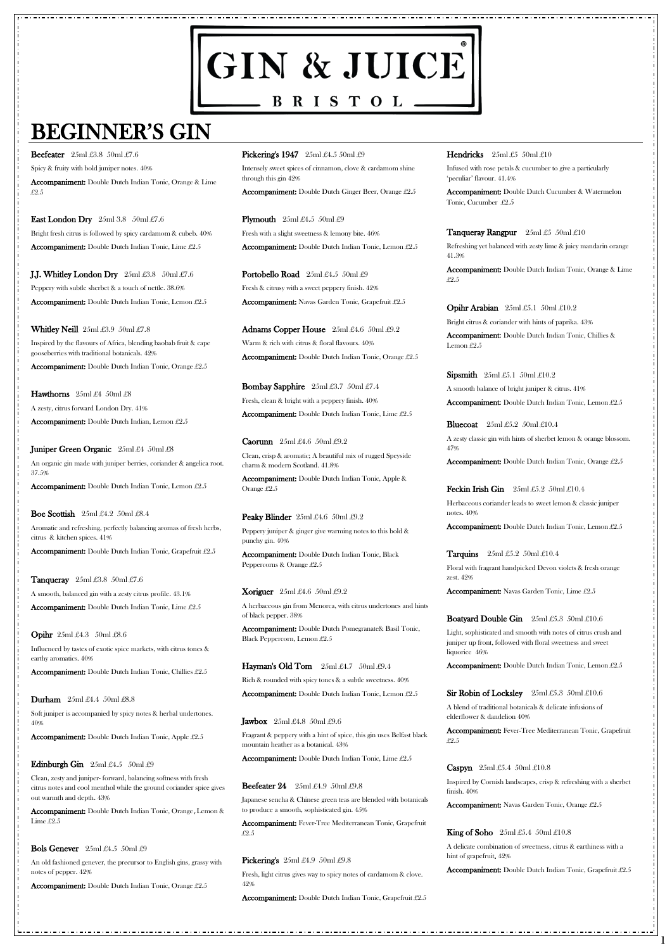# GIN & JUICE  $\hspace{1.6cm} \bullet$  B R I S T O L  $\hspace{1.6cm} \bullet$

# BEGINNER'S GIN

**1**

**Beefeater**  $25ml \pounds 3.8 \pmod{27.6}$ Spicy & fruity with bold juniper notes. 40% Accompaniment: Double Dutch Indian Tonic, Orange & Lime £2.5

**East London Dry** 25ml 3.8 50ml £7.6 Bright fresh citrus is followed by spicy cardamom & cubeb. 40% Accompaniment: Double Dutch Indian Tonic, Lime £2.5

J.J. Whitley London Dry 25ml £3.8 50ml £7.6 Peppery with subtle sherbet & a touch of nettle. 38.6% Accompaniment: Double Dutch Indian Tonic, Lemon £2.5

Whitley Neill 25ml £3.9 50ml £7.8 Inspired by the flavours of Africa, blending baobab fruit & cape gooseberries with traditional botanicals. 42%

**Hawthorns**  $25ml \pounds4$   $50ml \pounds8$ A zesty, citrus forward London Dry. 41% Accompaniment: Double Dutch Indian, Lemon £2.5

Juniper Green Organic 25ml £4 50ml £8 An organic gin made with juniper berries, coriander & angelica root. 37.5%

**Boe Scottish**  $25ml \pounds 4.2 \pmod{25l}$ Aromatic and refreshing, perfectly balancing aromas of fresh herbs,

Accompaniment: Double Dutch Indian Tonic, Orange £2.5

**Tanqueray**  $25ml \pounds 3.8 \pounds 50ml \pounds 7.6$ A smooth, balanced gin with a zesty citrus profile. 43.1% Accompaniment: Double Dutch Indian Tonic, Lime £2.5

**Durham**  $25ml \pounds4.4 \pmod{25}$ Soft juniper is accompanied by spicy notes & herbal undertones. Pickering's 1947 25ml £4.5 50ml £9

Accompaniment: Double Dutch Indian Tonic, Lemon £2.5

citrus & kitchen spices. 41%

Accompaniment: Double Dutch Indian Tonic, Grapefruit £2.5

**Plymouth**  $25ml \pounds 4.5 \pmod{29}$ Fresh with a slight sweetness & lemony bite. 46% Accompaniment: Double Dutch Indian Tonic, Lemon £2.5

Portobello Road 25ml £4.5 50ml £9 Fresh & citrusy with a sweet peppery finish. 42% Accompaniment: Navas Garden Tonic, Grapefruit £2.5

Opihr 25ml £4.3 50ml £8.6

Adnams Copper House 25ml £4.6 50ml £9.2 Warm & rich with citrus & floral flavours. 40% Accompaniment: Double Dutch Indian Tonic, Orange £2.5

Influenced by tastes of exotic spice markets, with citrus tones & earthy aromatics. 40%

Bombay Sapphire 25ml £3.7 50ml £7.4 Fresh, clean & bright with a peppery finish. 40% Accompaniment: Double Dutch Indian Tonic, Lime £2.5

Accompaniment: Double Dutch Indian Tonic, Chillies £2.5

Peaky Blinder 25ml £4.6 50ml £9.2 Peppery juniper & ginger give warming notes to this bold & punchy gin. 40%

Accompaniment: Double Dutch Indian Tonic, Apple £2.5

#### **Edinburgh Gin**  $25ml \pounds4.5$   $50ml \pounds9$

Clean, zesty and juniper- forward, balancing softness with fresh citrus notes and cool menthol while the ground coriander spice gives out warmth and depth. 43%

Hayman's Old Tom 25ml £4.7 50ml £9.4 Rich & rounded with spicy tones & a subtle sweetness. 40% Accompaniment: Double Dutch Indian Tonic, Lemon £2.5

#### **Hendricks**  $25ml \pounds 50ml \pounds 10$

Accompaniment: Double Dutch Indian Tonic, Orange**,**Lemon & Lime £2.5

#### Bols Genever 25ml £4.5 50ml £9

An old fashioned genever, the precursor to English gins, grassy with notes of pepper. 42%

Accompaniment: Double Dutch Indian Tonic, Orange £2.5

#### **Jawbox**  $25ml \pounds 4.8 \pmod{250}$

Intensely sweet spices of cinnamon, clove & cardamom shine through this gin 42%

Accompaniment: Double Dutch Ginger Beer, Orange £2.5

Sipsmith  $25ml \pounds 5.1 \pmod{210.2}$ A smooth balance of bright juniper & citrus. 41% Accompaniment: Double Dutch Indian Tonic, Lemon £2.5

**Bluecoat**  $25ml \pounds 5.2$   $50ml \pounds 10.4$ A zesty classic gin with hints of sherbet lemon & orange blossom. 47%

Accompaniment: Double Dutch Indian Tonic, Orange £2.5

Feckin Irish Gin 25ml £5.2 50ml £10.4 Herbaceous coriander leads to sweet lemon & classic juniper notes. 40%

Tarquins  $25ml \pounds 5.2$  50ml  $\pounds 10.4$ Floral with fragrant handpicked Devon violets & fresh orange zest. 42%

Caorunn 25ml £4.6 50ml £9.2 Clean, crisp & aromatic; A beautiful mix of rugged Speyside charm & modern Scotland. 41.8%

Accompaniment: Double Dutch Indian Tonic, Apple & Orange £2.5

Accompaniment: Double Dutch Indian Tonic, Black Peppercorns & Orange £2.5

#### **Xoriguer**  $25ml \pounds 4.6 \pmod{29.2}$

A herbaceous gin from Menorca, with citrus undertones and hints of black pepper. 38%

Accompaniment: Double Dutch Pomegranate& Basil Tonic, Black Peppercorn, Lemon £2.5

Fragrant & peppery with a hint of spice, this gin uses Belfast black mountain heather as a botanical. 43%

Accompaniment: Double Dutch Indian Tonic, Lime £2.5

#### Beefeater 24 25ml £4.9 50ml £9.8

Japanese sencha & Chinese green teas are blended with botanicals to produce a smooth, sophisticated gin. 45%

Accompaniment: Fever-Tree Mediterranean Tonic, Grapefruit £2.5

#### Pickering's  $25ml \pounds4.9$   $50ml \pounds9.8$

Fresh, light citrus gives way to spicy notes of cardamom & clove. 42%

Accompaniment: Double Dutch Indian Tonic, Grapefruit £2.5

Infused with rose petals & cucumber to give a particularly 'peculiar' flavour. 41.4%

Accompaniment: Double Dutch Cucumber & Watermelon Tonic, Cucumber £2.5

Tanqueray Rangpur 25ml £5 50ml £10

Refreshing yet balanced with zesty lime & juicy mandarin orange 41.3%

Accompaniment: Double Dutch Indian Tonic, Orange & Lime £2.5

Opihr Arabian 25ml £5.1 50ml £10.2 Bright citrus & coriander with hints of paprika. 43%

Accompaniment: Double Dutch Indian Tonic, Chillies & Lemon £2.5

Accompaniment: Double Dutch Indian Tonic, Lemon £2.5

Accompaniment: Navas Garden Tonic, Lime £2.5

# Boatyard Double Gin 25ml £5.3 50ml £10.6

Light, sophisticated and smooth with notes of citrus crush and juniper up front, followed with floral sweetness and sweet liquorice 46%

Accompaniment: Double Dutch Indian Tonic, Lemon £2.5

# Sir Robin of Locksley 25ml £5.3 50ml £10.6

A blend of traditional botanicals & delicate infusions of elderflower & dandelion 40%

Accompaniment: Fever-Tree Mediterranean Tonic, Grapefruit £2.5

#### **Caspyn**  $25ml \pounds 5.4$   $50ml \pounds 10.8$

Inspired by Cornish landscapes, crisp & refreshing with a sherbet finish. 40%

Accompaniment: Navas Garden Tonic, Orange £2.5

**King of Soho**  $25ml \pounds 5.4$   $50ml \pounds 10.8$ 

A delicate combination of sweetness, citrus & earthiness with a hint of grapefruit. 42%

Accompaniment: Double Dutch Indian Tonic, Grapefruit £2.5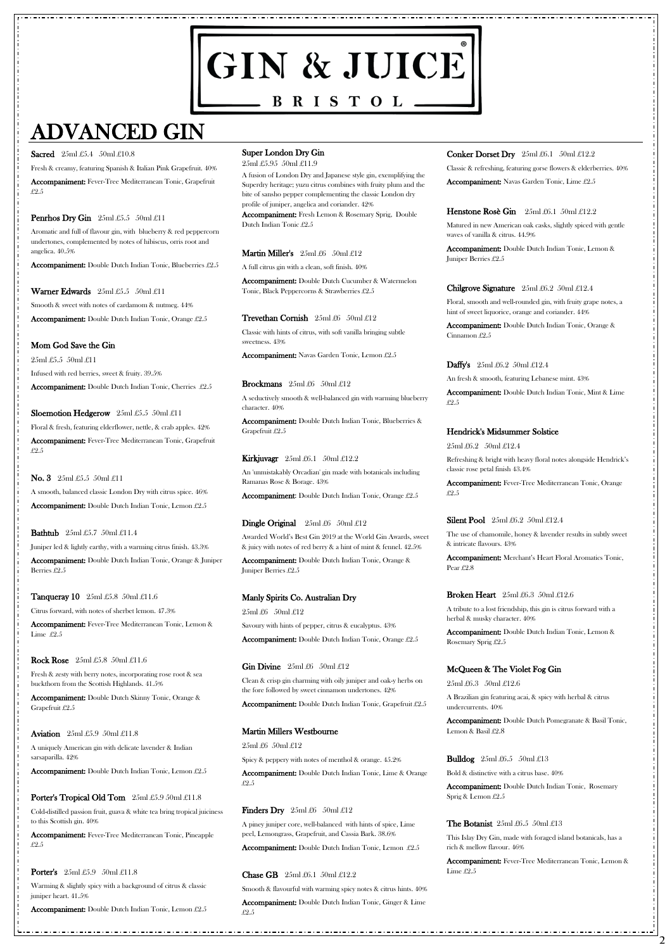# GIN & JUICE  $\hspace{1.6cm} \bullet$  B R I S T O L  $\hspace{1.6cm} \bullet$

# ADVANCED GIN

#### Sacred 25ml £5.4 50ml £10.8

**2**

Fresh & creamy, featuring Spanish & Italian Pink Grapefruit. 40% Accompaniment: Fever-Tree Mediterranean Tonic, Grapefruit £2.5

# **Penrhos Dry Gin**  $25ml £5.5$   $50ml £11$

Aromatic and full of flavour gin, with blueberry & red peppercorn undertones, complemented by notes of hibiscus, orris root and angelica. 40.5%

Accompaniment: Double Dutch Indian Tonic, Blueberries £2.5

# Warner Edwards 25ml £5.5 50ml £11

Smooth & sweet with notes of cardamom & nutmeg. 44%

Accompaniment: Double Dutch Indian Tonic, Orange £2.5

# Mom God Save the Gin

25ml £5.5 50ml £11

Infused with red berries, sweet & fruity. 39.5%

Accompaniment: Double Dutch Indian Tonic, Cherries £2.5

# Sloemotion Hedgerow 25ml £5.5 50ml £11

Floral & fresh, featuring elderflower, nettle, & crab apples. 42% Accompaniment: Fever-Tree Mediterranean Tonic, Grapefruit £2.5

#### **No. 3** 25ml £5.5 50ml £11

A smooth, balanced classic London Dry with citrus spice. 46% Accompaniment: Double Dutch Indian Tonic, Lemon £2.5

**Bathtub** 25ml £5.7 50ml £11.4

Juniper led & lightly earthy, with a warming citrus finish. 43.3%

Accompaniment: Double Dutch Indian Tonic, Orange & Juniper Berries £2.5

# **Tanqueray 10** 25ml £5.8 50ml £11.6

Citrus forward, with notes of sherbet lemon. 47.3%

Accompaniment: Fever-Tree Mediterranean Tonic, Lemon & Lime £2.5

#### Rock Rose 25ml £5.8 50ml £11.6

Fresh & zesty with berry notes, incorporating rose root & sea buckthorn from the Scottish Highlands. 41.5%

Accompaniment: Double Dutch Skinny Tonic, Orange & Grapefruit £2.5

A uniquely American gin with delicate lavender & Indian sarsaparilla. 42%

Accompaniment: Double Dutch Indian Tonic, Lemon £2.5

#### Porter's Tropical Old Tom 25ml £5.9 50ml £11.8

Cold-distilled passion fruit, guava & white tea bring tropical juiciness to this Scottish gin. 40%

Accompaniment: Fever-Tree Mediterranean Tonic, Pineapple £2.5

**Porter's** 25ml £5.9 50ml £11.8

Warming & slightly spicy with a background of citrus & classic juniper heart. 41.5%

Accompaniment: Double Dutch Indian Tonic, Lemon £2.5

## Super London Dry Gin

25ml £5.95 50ml £11.9

A fusion of London Dry and Japanese style gin, exemplifying the Superdry heritage; yuzu citrus combines with fruity plum and the bite of sansho pepper complementing the classic London dry profile of juniper, angelica and coriander. 42%

Accompaniment: Fresh Lemon & Rosemary Sprig, Double Dutch Indian Tonic £2.5

# Martin Miller's 25ml £6 50ml £12

A full citrus gin with a clean, soft finish. 40%

Accompaniment: Double Dutch Cucumber & Watermelon Tonic, Black Peppercorns & Strawberries £2.5

### Trevethan Cornish 25ml £6 50ml £12

Accompaniment: Merchant's Heart Floral Aromatics Tonic, Pear £2.8

#### **Broken Heart** 25ml £6.3 50ml £12.6

Classic with hints of citrus, with soft vanilla bringing subtle sweetness. 43%

Accompaniment: Navas Garden Tonic, Lemon £2.5

#### **Brockmans**  $25ml \pounds 6$   $50ml \pounds 12$

A seductively smooth & well-balanced gin with warming blueberry character. 40%

Accompaniment: Double Dutch Indian Tonic, Blueberries & Grapefruit £2.5

# **Kirkjuvagr**  $25 \text{ml} \pounds 6.1$   $50 \text{ml} \pounds 12.2$

An 'unmistakably Orcadian' gin made with botanicals including Ramanas Rose & Borage. 43%

Accompaniment: Double Dutch Indian Tonic, Orange £2.5

# **Dingle Original**  $25ml £6$   $50ml £12$

Awarded World's Best Gin 2019 at the World Gin Awards, sweet & juicy with notes of red berry & a hint of mint & fennel. 42.5%

Accompaniment: Double Dutch Indian Tonic, Orange & Juniper Berries £2.5

# Manly Spirits Co. Australian Dry

25ml £6 50ml £12

Savoury with hints of pepper, citrus & eucalyptus. 43%

Accompaniment: Double Dutch Indian Tonic, Orange £2.5

# **Gin Divine**  $25ml \pounds 6$   $50ml \pounds 12$

Clean & crisp gin charming with oily juniper and oak-y herbs on the fore followed by sweet cinnamon undertones. 42%

Accompaniment: Double Dutch Indian Tonic, Grapefruit £2.5

### Conker Dorset Dry 25ml £6.1 50ml £12.2

#### Martin Millers Westbourne

#### 25ml £6 50ml £12

Spicy & peppery with notes of menthol & orange. 45.2% Accompaniment: Double Dutch Indian Tonic, Lime & Orange £2.5

#### **Finders Dry**  $25ml \pounds 6$   $50ml \pounds 12$

A piney juniper core, well-balanced with hints of spice, Lime peel, Lemongrass, Grapefruit, and Cassia Bark. 38.6%

Accompaniment: Double Dutch Indian Tonic, Lemon £2.5

#### Chase GB 25ml £6.1 50ml £12.2

Smooth & flavourful with warming spicy notes & citrus hints. 40%

Accompaniment: Double Dutch Indian Tonic, Ginger & Lime £2.5

Classic & refreshing, featuring gorse flowers & elderberries. 40%

Accompaniment: Navas Garden Tonic, Lime £2.5

#### Henstone Rosè Gin 25ml £6.1 50ml £12.2

Matured in new American oak casks, slightly spiced with gentle waves of vanilla & citrus. 44.9%

Accompaniment: Double Dutch Indian Tonic, Lemon & Juniper Berries £2.5

## Chilgrove Signature 25ml £6.2 50ml £12.4

Floral, smooth and well-rounded gin, with fruity grape notes, a hint of sweet liquorice, orange and coriander. 44%

Accompaniment: Double Dutch Indian Tonic, Orange & Cinnamon £2.5

#### Daffy's 25ml £6.2 50ml £12.4

An fresh & smooth, featuring Lebanese mint. 43%

Accompaniment: Double Dutch Indian Tonic, Mint & Lime £2.5

# Hendrick's Midsummer Solstice

25ml £6.2 50ml £12.4

Refreshing & bright with heavy floral notes alongside Hendrick's classic rose petal finish 43.4%

Accompaniment: Fever-Tree Mediterranean Tonic, Orange £2.5

#### Silent Pool 25ml £6.2 50ml £12.4

The use of chamomile, honey & lavender results in subtly sweet & intricate flavours. 43%

A tribute to a lost friendship, this gin is citrus forward with a herbal & musky character. 40%

Accompaniment: Double Dutch Indian Tonic, Lemon & Rosemary Sprig £2.5

# McQueen & The Violet Fog Gin

25ml £6.3 50ml £12.6

A Brazilian gin featuring acai, & spicy with herbal & citrus undercurrents. 40%

#### **Aviation**  $25ml £5.9 50ml £11.8$

Accompaniment: Double Dutch Pomegranate & Basil Tonic, Lemon & Basil £2.8

**Bulldog**  $25ml \pounds 6.5$   $50ml \pounds 13$ 

Bold & distinctive with a citrus base. 40%

Accompaniment: Double Dutch Indian Tonic, Rosemary Sprig & Lemon £2.5

The Botanist  $25ml \pounds 6.5 \text{ 50ml } \pounds 13$ 

This Islay Dry Gin, made with foraged island botanicals, has a rich & mellow flavour. 46%

Accompaniment: Fever-Tree Mediterranean Tonic, Lemon & Lime £2.5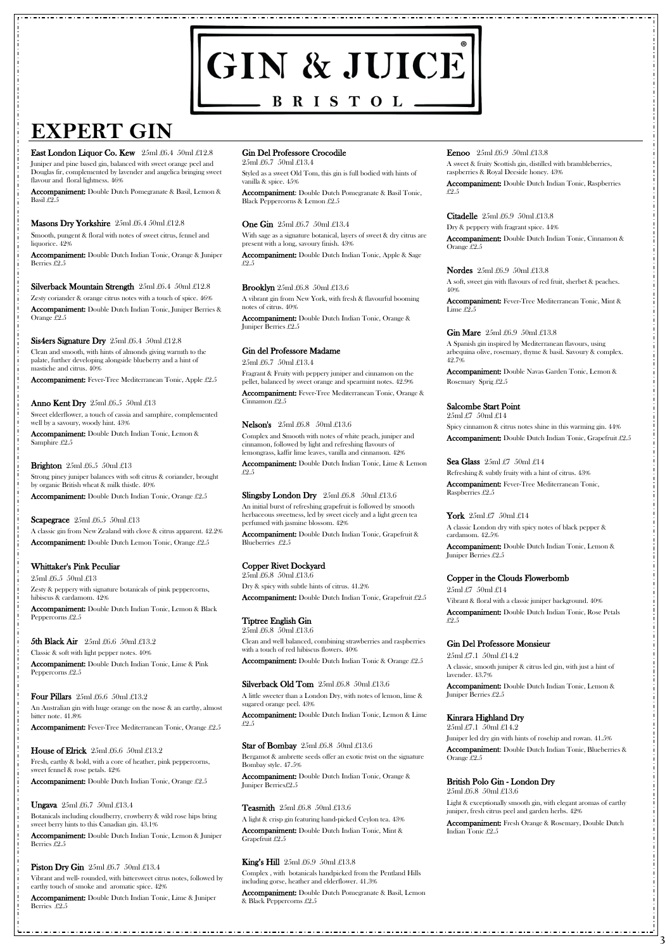# GIN & JUICE BRISTOL.

# **EXPERT GIN**

#### East London Liquor Co. Kew 25ml £6.4 50ml £12.8

**3**

Juniper and pine based gin, balanced with sweet orange peel and Douglas fir, complemented by lavender and angelica bringing sweet flavour and floral lightness. 46%

Accompaniment: Double Dutch Pomegranate & Basil, Lemon & Basil £2.5

#### Masons Dry Yorkshire 25ml £6.4 50ml £12.8

Smooth, pungent & floral with notes of sweet citrus, fennel and liquorice. 42%

Accompaniment: Double Dutch Indian Tonic, Orange & Juniper Berries £2.5

#### Silverback Mountain Strength 25ml £6.4 50ml £12.8

Zesty coriander & orange citrus notes with a touch of spice. 46%

Accompaniment: Double Dutch Indian Tonic, Juniper Berries & Orange £2.5

#### Sis4ers Signature Dry 25ml £6.4 50ml £12.8

Clean and smooth, with hints of almonds giving warmth to the palate, further developing alongside blueberry and a hint of mastiche and citrus. 40%

Accompaniment: Fever-Tree Mediterranean Tonic, Apple £2.5

#### **Anno Kent Dry** 25ml £6.5 50ml £13

Sweet elderflower, a touch of cassia and samphire, complemented well by a savoury, woody hint. 43%

Accompaniment: Double Dutch Indian Tonic, Lemon & Samphire £2.5

#### **Brighton**  $25ml \pounds 6.5 \pmod{\pounds 13}$

Strong piney juniper balances with soft citrus & coriander, brought by organic British wheat & milk thistle. 40%

Accompaniment: Double Dutch Indian Tonic, Orange £2.5

#### Scapegrace  $25ml \pounds 6.5 \pmod{\pounds 13}$

A classic gin from New Zealand with clove & citrus apparent. 42.2% Accompaniment: Double Dutch Lemon Tonic, Orange £2.5

# Whittaker's Pink Peculiar

25ml £6.5 50ml £13 Zesty & peppery with signature botanicals of pink peppercorns, hibiscus & cardamom. 42%

Accompaniment: Double Dutch Indian Tonic, Lemon & Black Peppercorns £2.5

# 5th Black Air 25ml £6.6 50ml £13.2

Classic & soft with light pepper notes. 40% Accompaniment: Double Dutch Indian Tonic, Lime & Pink Peppercorns £2.5

#### Four Pillars 25ml £6.6 50ml £13.2

An Australian gin with huge orange on the nose & an earthy, almost bitter note. 41.8%

Accompaniment: Fever-Tree Mediterranean Tonic, Orange £2.5

House of Elrick  $25ml \pounds 6.6 50ml \pounds 13.2$ 

Fresh, earthy & bold, with a core of heather, pink peppercorns, sweet fennel & rose petals. 42%

Accompaniment: Double Dutch Indian Tonic, Orange £2.5

Ungava  $25$ ml £6.7  $50$ ml £13.4

Botanicals including cloudberry, crowberry & wild rose hips bring sweet berry hints to this Canadian gin. 43.1%

Accompaniment: Double Dutch Indian Tonic, Lemon & Juniper Berries £2.5

**Piston Dry Gin**  $25ml \pounds 6.7$   $50ml \pounds 13.4$ 

Vibrant and well- rounded, with bittersweet citrus notes, followed by earthy touch of smoke and aromatic spice. 42%

Accompaniment: Double Dutch Indian Tonic, Lime & Juniper Berries £2.5

## Gin Del Professore Crocodile

25ml £6.7 50ml £13.4

Styled as a sweet Old Tom, this gin is full bodied with hints of vanilla & spice. 45%

Accompaniment: Double Dutch Pomegranate & Basil Tonic, Black Peppercorns & Lemon £2.5

#### One Gin  $25ml\text{ }£6.7\text{ }50ml\text{ }£13.4$

With sage as a signature botanical, layers of sweet & dry citrus are present with a long, savoury finish. 43%

Accompaniment: Double Dutch Indian Tonic, Apple & Sage £2.5

#### **Brooklyn** 25ml £6.8 50ml £13.6

A vibrant gin from New York, with fresh & flavourful booming notes of citrus. 40%

Accompaniment: Double Dutch Indian Tonic, Orange & Juniper Berries £2.5

# Gin del Professore Madame

25ml £6.7 50ml £13.4

Fragrant & Fruity with peppery juniper and cinnamon on the pellet, balanced by sweet orange and spearmint notes. 42.9%

Accompaniment: Fever-Tree Mediterranean Tonic, Orange & Cinnamon £2.5

#### Nelson's 25ml £6.8 50ml £13.6

Complex and Smooth with notes of white peach, juniper and cinnamon, followed by light and refreshing flavours of lemongrass, kaffir lime leaves, vanilla and cinnamon. 42%

Accompaniment: Double Dutch Indian Tonic, Lime & Lemon £2.5

#### **Slingsby London Dry**  $25ml \pounds 6.8$   $50ml \pounds 13.6$

An initial burst of refreshing grapefruit is followed by smooth herbaceous sweetness, led by sweet cicely and a light green tea perfumed with jasmine blossom. 42%

Accompaniment: Double Dutch Indian Tonic, Grapefruit & Blueberries £2.5

# Copper Rivet Dockyard

25ml £6.8 50ml £13.6 Dry & spicy with subtle hints of citrus. 41.2% Accompaniment: Double Dutch Indian Tonic, Grapefruit £2.5

# Tiptree English Gin

25ml £6.8 50ml £13.6 Clean and well balanced, combining strawberries and raspberries with a touch of red hibiscus flowers. 40%

Accompaniment: Double Dutch Indian Tonic & Orange £2.5

# Silverback Old Tom 25ml £6.8 50ml £13.6

A little sweeter than a London Dry, with notes of lemon, lime & sugared orange peel. 43%

Accompaniment: Double Dutch Indian Tonic, Lemon & Lime

#### Eenoo 25ml £6.9 50ml £13.8

£2.5

#### Star of Bombay 25ml £6.8 50ml £13.6

Bergamot & ambrette seeds offer an exotic twist on the signature Bombay style. 47.5%

Accompaniment: Double Dutch Indian Tonic, Orange & Juniper Berries£2.5

#### Teasmith 25ml £6.8 50ml £13.6

A light & crisp gin featuring hand-picked Ceylon tea. 43% Accompaniment: Double Dutch Indian Tonic, Mint & Grapefruit £2.5

#### King's Hill 25ml £6.9 50ml £13.8

Complex , with botanicals handpicked from the Pentland Hills including gorse, heather and elderflower. 41.3%

Accompaniment: Double Dutch Pomegranate & Basil, Lemon & Black Peppercorns £2.5

A sweet & fruity Scottish gin, distilled with brambleberries, raspberries & Royal Deeside honey. 43%

Accompaniment: Double Dutch Indian Tonic, Raspberries £2.5

#### Citadelle 25ml £6.9 50ml £13.8

Dry & peppery with fragrant spice. 44%

Accompaniment: Double Dutch Indian Tonic, Cinnamon & Orange £2.5

#### Nordes 25ml £6.9 50ml £13.8

A soft, sweet gin with flavours of red fruit, sherbet & peaches. 40%

Accompaniment: Fever-Tree Mediterranean Tonic, Mint & Lime £2.5

#### Gin Mare 25ml £6.9 50ml £13.8

A Spanish gin inspired by Mediterranean flavours, using arbequina olive, rosemary, thyme & basil. Savoury & complex. 42.7%

Accompaniment: Double Navas Garden Tonic, Lemon & Rosemary Sprig £2.5

#### Salcombe Start Point

25ml £7 50ml £14

Spicy cinnamon & citrus notes shine in this warming gin. 44% Accompaniment: Double Dutch Indian Tonic, Grapefruit £2.5

#### Sea Glass  $25ml \pounds 7$   $50ml \pounds 14$

Refreshing & subtly fruity with a hint of citrus. 43%

Accompaniment: Fever-Tree Mediterranean Tonic, Raspberries £2.5

#### York  $25ml\pounds7$  50ml  $\pounds14$

A classic London dry with spicy notes of black pepper & cardamom. 42.5%

Accompaniment: Double Dutch Indian Tonic, Lemon & Juniper Berries £2.5

#### Copper in the Clouds Flowerbomb

25ml £7 50ml £14

Vibrant & floral with a classic juniper background. 40%

Accompaniment: Double Dutch Indian Tonic, Rose Petals £2.5

#### Gin Del Professore Monsieur

25ml £7.1 50ml £14.2

A classic, smooth juniper & citrus led gin, with just a hint of lavender. 43.7%

Accompaniment: Double Dutch Indian Tonic, Lemon & Juniper Berries £2.5

## Kinrara Highland Dry

25ml £7.1 50ml £14.2

Juniper led dry gin with hints of rosehip and rowan. 41.5%

Accompaniment: Double Dutch Indian Tonic, Blueberries & Orange £2.5

#### British Polo Gin - London Dry 25ml £6.8 50ml £13.6

Light & exceptionally smooth gin, with elegant aromas of earthy juniper, fresh citrus peel and garden herbs. 42%

Accompaniment: Fresh Orange & Rosemary, Double Dutch Indian Tonic £2.5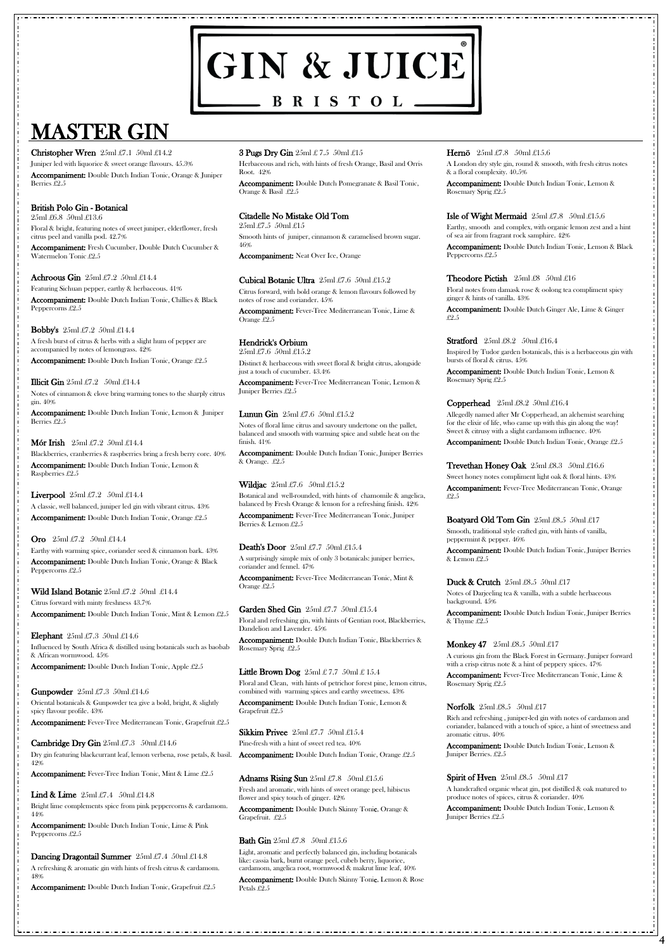# GIN & JUICE  $-$  BRISTOL $-$

# MASTER GIN

**4**

Christopher Wren 25ml £7.1 50ml £14.2

Juniper led with liquorice & sweet orange flavours. 45.3% Accompaniment: Double Dutch Indian Tonic, Orange & Juniper

Berries £2.5

# British Polo Gin - Botanical

25ml £6.8 50ml £13.6

Floral & bright, featuring notes of sweet juniper, elderflower, fresh citrus peel and vanilla pod. 42.7%

Accompaniment: Fresh Cucumber, Double Dutch Cucumber & Watermelon Tonic £2.5

### Achroous Gin 25ml £7.2 50ml £14.4

Accompaniment: Double Dutch Indian Tonic, Lemon & Juniper Berries  $-9.5$ 

#### Mór Irish  $25ml \pounds 7.2$  50ml  $\pounds 14.4$

Featuring Sichuan pepper, earthy & herbaceous. 41%

Accompaniment: Double Dutch Indian Tonic, Chillies & Black Peppercorns £2.5

### **Bobby's**  $25ml \pounds 7.2$   $50ml \pounds 14.4$

A fresh burst of citrus & herbs with a slight hum of pepper are accompanied by notes of lemongrass. 42%

Accompaniment: Double Dutch Indian Tonic, Orange £2.5

#### **Illicit Gin**  $25ml \pounds 7.2$   $50ml \pounds 14.4$

Notes of cinnamon & clove bring warming tones to the sharply citrus gin. 40%

Cambridge Dry Gin  $25ml \pounds 7.3$  50ml  $\pounds 14.6$ Dry gin featuring blackcurrant leaf, lemon verbena, rose petals, & basil. 42%

Blackberries, cranberries & raspberries bring a fresh berry core. 40% Accompaniment: Double Dutch Indian Tonic, Lemon & Raspberries £2.5

#### **Liverpool**  $25ml \pounds 7.2$   $50ml \pounds 14.4$

**Lind & Lime**  $25ml \pounds 7.4$   $50ml \pounds 14.8$ Bright lime complements spice from pink peppercorns & cardamom. 44%

Accompaniment: Double Dutch Indian Tonic, Lime & Pink Peppercorns £2.5

#### Dancing Dragontail Summer 25ml £7.4 50ml £14.8

A classic, well balanced, juniper led gin with vibrant citrus. 43% Accompaniment: Double Dutch Indian Tonic, Orange £2.5

# **Oro** 25ml £7.2 50ml £14.4

Earthy with warming spice, coriander seed & cinnamon bark. 43% Accompaniment: Double Dutch Indian Tonic, Orange & Black Peppercorns £2.5

# Wild Island Botanic 25ml £7.2 50ml £14.4

Citrus forward with minty freshness 43.7% Accompaniment: Double Dutch Indian Tonic, Mint & Lemon £2.5

# **Elephant**  $25ml \pounds 7.3 \pmod{214.6}$

Influenced by South Africa & distilled using botanicals such as baobab & African wormwood. 45%

Accompaniment: Double Dutch Indian Tonic, Apple £2.5

# **Gunpowder**  $25ml \pounds 7.3$   $50ml \pounds 14.6$

Oriental botanicals & Gunpowder tea give a bold, bright, & slightly spicy flavour profile. 43%

Accompaniment: Fever-Tree Mediterranean Tonic, Grapefruit £2.5

Accompaniment: Fever-Tree Indian Tonic, Mint & Lime £2.5

A refreshing & aromatic gin with hints of fresh citrus & cardamom. 48%

Accompaniment: Double Dutch Indian Tonic, Grapefruit £2.5

Sikkim Privee  $25ml \pounds 7.7 \quad 50ml \pounds 15.4$ Pine-fresh with a hint of sweet red tea. 40% Accompaniment: Double Dutch Indian Tonic, Orange £2.5

#### Adnams Rising Sun  $25ml \pounds 7.8$  50ml  $\pounds 15.6$

Accompaniment: Double Dutch Skinny Tonic, Lemon & Rose Petals £2.5

## 3 Pugs Dry Gin 25ml £ 7.5 50ml £15

Herbaceous and rich, with hints of fresh Orange, Basil and Orris Root. 42%

Accompaniment: Double Dutch Pomegranate & Basil Tonic, Orange & Basil £2.5

# Citadelle No Mistake Old Tom

25ml £7.5 50ml £15

Smooth hints of juniper, cinnamon & caramelised brown sugar. 46%

Accompaniment: Neat Over Ice, Orange

### Cubical Botanic Ultra  $25ml \pounds 7.6$   $50ml \pounds 15.2$

Citrus forward, with bold orange & lemon flavours followed by notes of rose and coriander. 45%

Accompaniment: Fever-Tree Mediterranean Tonic, Lime & Orange £2.5

# Hendrick's Orbium

25ml £7.6 50ml £15.2

Distinct & herbaceous with sweet floral & bright citrus, alongside just a touch of cucumber. 43.4%

> Accompaniment: Double Dutch Indian Tonic, Juniper Berries & Lemon  $£2.5$

#### Duck & Crutch 25ml £8.5 50ml £17

Accompaniment: Fever-Tree Mediterranean Tonic, Lemon & Juniper Berries £2.5

#### **Lunun Gin**  $25ml \pounds 7.6$   $50ml \pounds 15.2$

Notes of floral lime citrus and savoury undertone on the pallet, balanced and smooth with warming spice and subtle heat on the finish. 41%

Accompaniment: Double Dutch Indian Tonic, Juniper Berries & Orange. £2.5

# Wildjac  $25ml \pounds 7.6$  50ml  $\pounds 15.2$

Botanical and well-rounded, with hints of chamomile & angelica, balanced by Fresh Orange & lemon for a refreshing finish. 42%

Accompaniment: Fever-Tree Mediterranean Tonic, Juniper Berries & Lemon £2.5

# Death's Door 25ml £7.7 50ml £15.4

A surprisingly simple mix of only 3 botanicals: juniper berries, coriander and fennel. 47%

Accompaniment: Fever-Tree Mediterranean Tonic, Mint & Orange £2.5

# Garden Shed Gin 25ml £7.7 50ml £15.4

Floral and refreshing gin, with hints of Gentian root, Blackberries, Dandelion and Lavender. 45%

Accompaniment: Double Dutch Indian Tonic, Blackberries & Rosemary Sprig £2.5

#### Little Brown Dog  $25ml \pounds 7.7 50ml \pounds 15.4$

Floral and Clean, with hints of petrichor forest pine, lemon citrus, combined with warming spices and earthy sweetness. 43%

Accompaniment: Double Dutch Indian Tonic, Lemon & Grapefruit £2.5

#### Hernö 25ml £7.8 50ml £15.6

Fresh and aromatic, with hints of sweet orange peel, hibiscus flower and spicy touch of ginger. 42%

Accompaniment: Double Dutch Skinny Tonic, Orange & Grapefruit. £2.5

#### Bath Gin  $25ml \pounds 7.8$  50ml  $\pounds 15.6$

Light, aromatic and perfectly balanced gin, including botanicals like: cassia bark, burnt orange peel, cubeb berry, liquorice, cardamom, angelica root, wormwood & makrut lime leaf, 40%

A London dry style gin, round & smooth, with fresh citrus notes & a floral complexity. 40.5%

Accompaniment: Double Dutch Indian Tonic, Lemon & Rosemary Sprig £2.5

## **Isle of Wight Mermaid**  $25ml \pounds 7.8$   $50ml \pounds 15.6$

Earthy, smooth and complex, with organic lemon zest and a hint of sea air from fragrant rock samphire. 42%

Accompaniment: Double Dutch Indian Tonic, Lemon & Black Peppercorns £2.5

### Theodore Pictish 25ml £8 50ml £16

Floral notes from damask rose & oolong tea compliment spicy ginger & hints of vanilla. 43%

Accompaniment: Double Dutch Ginger Ale, Lime & Ginger £2.5

#### Stratford 25ml £8.2 50ml £16.4

Inspired by Tudor garden botanicals, this is a herbaceous gin with bursts of floral & citrus. 45%

Accompaniment: Double Dutch Indian Tonic, Lemon & Rosemary Sprig £2.5

#### Copperhead 25ml £8.2 50ml £16.4

Allegedly named after Mr Copperhead, an alchemist searching for the elixir of life, who came up with this gin along the way! Sweet & citrusy with a slight cardamom influence. 40%

Accompaniment: Double Dutch Indian Tonic, Orange £2.5

Trevethan Honey Oak 25ml £8.3 50ml £16.6

Sweet honey notes compliment light oak & floral hints. 43% Accompaniment: Fever-Tree Mediterranean Tonic, Orange £2.5

# Boatyard Old Tom Gin 25ml £8.5 50ml £17

Smooth, traditional style crafted gin, with hints of vanilla, peppermint & pepper. 46%

Notes of Darjeeling tea & vanilla, with a subtle herbaceous background. 45%

Accompaniment: Double Dutch Indian Tonic, Juniper Berries & Thyme £2.5

#### **Monkey 47** 25ml £8.5 50ml £17

A curious gin from the Black Forest in Germany. Juniper forward with a crisp citrus note & a hint of peppery spices. 47%

Accompaniment: Fever-Tree Mediterranean Tonic, Lime & Rosemary Sprig £2.5

#### Norfolk  $25ml\pounds8.5$   $50ml\pounds17$

Rich and refreshing , juniper-led gin with notes of cardamon and coriander, balanced with a touch of spice, a hint of sweetness and aromatic citrus. 40%

Accompaniment: Double Dutch Indian Tonic, Lemon & Juniper Berries. £2.5

#### Spirit of Hven  $25ml\text{ }\pounds8.5\text{ }50ml\text{ }\pounds17$

A handcrafted organic wheat gin, pot distilled & oak matured to produce notes of spices, citrus & coriander. 40%

Accompaniment: Double Dutch Indian Tonic, Lemon & Juniper Berries £2.5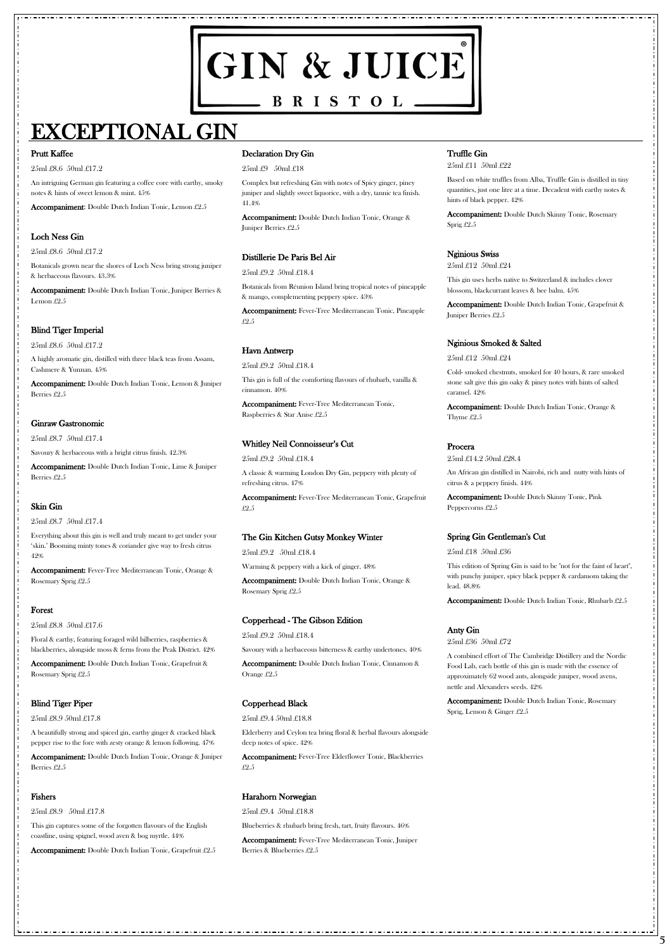# GIN & JUICE  $-$  BRISTOL $-$

# EXCEPTIONAL GIN

**5**

#### Prutt Kaffee

25ml £8.6 50ml £17.2

An intriguing German gin featuring a coffee core with earthy, smoky notes & hints of sweet lemon & mint. 45%

Accompaniment: Double Dutch Indian Tonic, Juniper Berries & Lemon £2.5

Accompaniment: Double Dutch Indian Tonic, Lemon £2.5

# Loch Ness Gin

25ml £8.6 50ml £17.2

Botanicals grown near the shores of Loch Ness bring strong juniper & herbaceous flavours. 43.3%

# Blind Tiger Imperial

25ml £8.6 50ml £17.2

A highly aromatic gin, distilled with three black teas from Assam, Cashmere & Yunnan. 45%

Accompaniment: Double Dutch Indian Tonic, Lemon & Juniper Berries £2.5

# Ginraw Gastronomic

25ml £8.7 50ml £17.4

Savoury & herbaceous with a bright citrus finish. 42.3%

Accompaniment: Double Dutch Indian Tonic, Lime & Juniper Berries £2.5

# Skin Gin

25ml £8.7 50ml £17.4

Everything about this gin is well and truly meant to get under your 'skin.' Booming minty tones & coriander give way to fresh citrus 42%

Accompaniment: Fever-Tree Mediterranean Tonic, Orange & Rosemary Sprig £2.5

# Forest

25ml £8.8 50ml £17.6

Floral & earthy, featuring foraged wild bilberries, raspberries & blackberries, alongside moss & ferns from the Peak District. 42%

Accompaniment: Double Dutch Indian Tonic, Grapefruit & Rosemary Sprig £2.5

# Blind Tiger Piper

#### 25ml £8.9 50ml £17.8

A beautifully strong and spiced gin, earthy ginger & cracked black pepper rise to the fore with zesty orange & lemon following. 47%

Accompaniment: Double Dutch Indian Tonic, Orange & Juniper Berries £2.5

#### Fishers

25ml £8.9 50ml £17.8

This gin captures some of the forgotten flavours of the English coastline, using spignel, wood aven & bog myrtle. 44%

Accompaniment: Double Dutch Indian Tonic, Grapefruit £2.5

### Declaration Dry Gin

25ml £9 50ml £18

Complex but refreshing Gin with notes of Spicy ginger, piney juniper and slightly sweet liquorice, with a dry, tannic tea finish. 41.4%

Accompaniment: Double Dutch Indian Tonic, Orange & Juniper Berries £2.5

# Distillerie De Paris Bel Air

25ml £9.2 50ml £18.4

Botanicals from Réunion Island bring tropical notes of pineapple & mango, complementing peppery spice. 43%

Accompaniment: Fever-Tree Mediterranean Tonic, Pineapple £2.5

#### Havn Antwerp

25ml £9.2 50ml £18.4

This gin is full of the comforting flavours of rhubarb, vanilla & cinnamon. 40%

Accompaniment: Fever-Tree Mediterranean Tonic, Raspberries & Star Anise £2.5

#### Whitley Neil Connoisseur's Cut

25ml £9.2 50ml £18.4

A classic & warming London Dry Gin, peppery with plenty of refreshing citrus. 47%

Accompaniment: Fever-Tree Mediterranean Tonic, Grapefruit £2.5

#### The Gin Kitchen Gutsy Monkey Winter

25ml £9.2 50ml £18.4

Warming & peppery with a kick of ginger. 48%

Accompaniment: Double Dutch Indian Tonic, Orange & Rosemary Sprig £2.5

#### Copperhead - The Gibson Edition

25ml £9.2 50ml £18.4

Savoury with a herbaceous bitterness & earthy undertones. 40%

Accompaniment: Double Dutch Indian Tonic, Cinnamon & Orange £2.5

# Copperhead Black

25ml £9.4 50ml £18.8

Elderberry and Ceylon tea bring floral & herbal flavours alongside deep notes of spice. 42%

Accompaniment: Fever-Tree Elderflower Tonic, Blackberries £2.5

#### Harahorn Norwegian

25ml £9.4 50ml £18.8

Blueberries & rhubarb bring fresh, tart, fruity flavours. 46%

Accompaniment: Fever-Tree Mediterranean Tonic, Juniper Berries & Blueberries £2.5

# Truffle Gin

25ml £11 50ml £22

Based on white truffles from Alba, Truffle Gin is distilled in tiny quantities, just one litre at a time. Decadent with earthy notes & hints of black pepper. 42%

Accompaniment: Double Dutch Skinny Tonic, Rosemary Sprig £2.5

# Nginious Swiss

25ml £12 50ml £24

This gin uses herbs native to Switzerland & includes clover blossom, blackcurrant leaves & bee balm. 45%

Accompaniment: Double Dutch Indian Tonic, Grapefruit & Juniper Berries £2.5

# Nginious Smoked & Salted

25ml £12 50ml £24

Cold- smoked chestnuts, smoked for 40 hours, & rare smoked stone salt give this gin oaky & piney notes with hints of salted caramel. 42%

Accompaniment: Double Dutch Indian Tonic, Orange & Thyme £2.5

#### Procera

25ml £14.2 50ml £28.4

An African gin distilled in Nairobi, rich and nutty with hints of citrus & a peppery finish. 44%

Accompaniment: Double Dutch Skinny Tonic, Pink Peppercorns £2.5

# Spring Gin Gentleman's Cut

25ml £18 50ml £36

This edition of Spring Gin is said to be "not for the faint of heart", with punchy juniper, spicy black pepper & cardamom taking the lead. 48.8%

Accompaniment: Double Dutch Indian Tonic, Rhubarb £2.5

# Anty Gin

25ml £36 50ml £72

A combined effort of The Cambridge Distillery and the Nordic Food Lab, each bottle of this gin is made with the essence of approximately 62 wood ants, alongside juniper, wood avens, nettle and Alexanders seeds. 42%

Accompaniment: Double Dutch Indian Tonic, Rosemary Sprig, Lemon & Ginger £2.5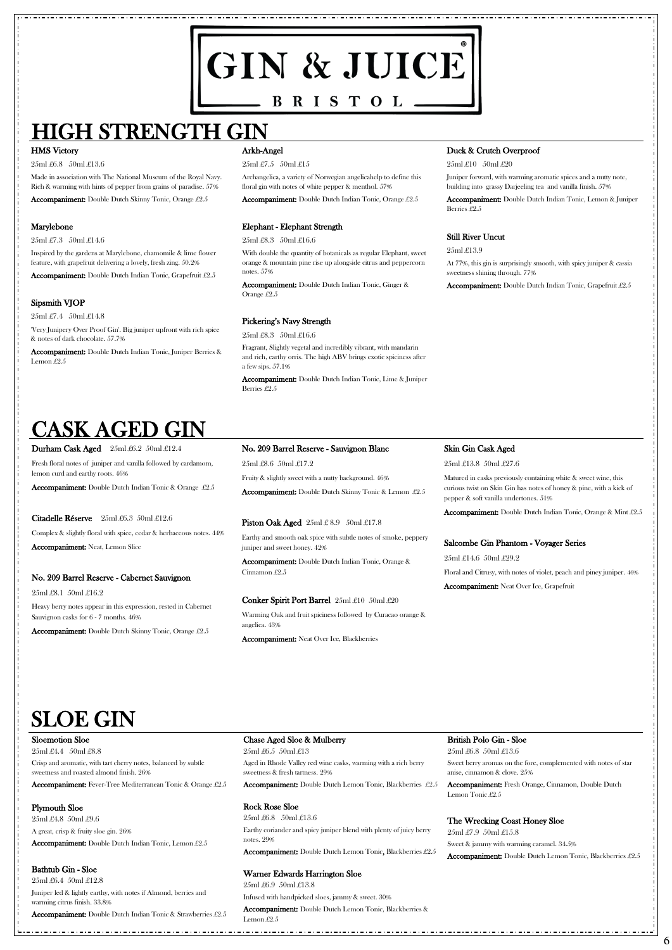# GIN & JUICE  $-$  BRISTOL.

# HIGH STRENGTH GIN

#### HMS Victory

25ml £6.8 50ml £13.6

Made in association with The National Museum of the Royal Navy. Rich & warming with hints of pepper from grains of paradise. 57%

Accompaniment: Double Dutch Skinny Tonic, Orange £2.5

#### Marylebone

25ml £7.3 50ml £14.6

Inspired by the gardens at Marylebone, chamomile & lime flower feature, with grapefruit delivering a lovely, fresh zing. 50.2%

Accompaniment: Double Dutch Indian Tonic, Grapefruit £2.5

# Sipsmith VJOP

25ml £7.4 50ml £14.8

'Very Junipery Over Proof Gin'. Big juniper upfront with rich spice & notes of dark chocolate. 57.7%

Accompaniment: Double Dutch Indian Tonic, Juniper Berries & Lemon £2.5

## Arkh-Angel

#### 25ml £7.5 50ml £15

Archangelica, a variety of Norwegian angelicahelp to define this floral gin with notes of white pepper & menthol. 57%

Accompaniment: Double Dutch Indian Tonic, Orange £2.5

#### Elephant - Elephant Strength

25ml £8.3 50ml £16.6

With double the quantity of botanicals as regular Elephant, sweet orange & mountain pine rise up alongside citrus and peppercorn notes. 57%

Accompaniment: Double Dutch Indian Tonic, Ginger & Orange £2.5

# Pickering's Navy Strength

25ml £8.3 50ml £16.6

Fragrant, Slightly vegetal and incredibly vibrant, with mandarin and rich, earthy orris. The high ABV brings exotic spiciness after a few sips. 57.1%

Accompaniment: Double Dutch Indian Tonic, Lime & Juniper Berries £2.5

### Duck & Crutch Overproof

25ml £10 50ml £20

Juniper forward, with warming aromatic spices and a nutty note, building into grassy Darjeeling tea and vanilla finish. 57%

Accompaniment: Double Dutch Indian Tonic, Lemon & Juniper Berries £2.5

### Still River Uncut

25ml £13.9

At 77%, this gin is surprisingly smooth, with spicy juniper & cassia sweetness shining through. 77%

Accompaniment: Double Dutch Indian Tonic, Grapefruit £2.5

# SLOE GIN

**6**

# CASK AGED GIN

#### Durham Cask Aged 25ml £6.2 50ml £12.4

Fresh floral notes of juniper and vanilla followed by cardamom, lemon curd and earthy roots. 46%

Accompaniment: Double Dutch Indian Tonic & Orange £2.5

# Citadelle Réserve 25ml £6.3 50ml £12.6

Complex & slightly floral with spice, cedar & herbaceous notes. 44% Accompaniment: Neat, Lemon Slice

# No. 209 Barrel Reserve - Cabernet Sauvignon

25ml £8.1 50ml £16.2

Heavy berry notes appear in this expression, rested in Cabernet Sauvignon casks for 6 - 7 months. 46%

Accompaniment: Double Dutch Skinny Tonic, Orange £2.5

#### No. 209 Barrel Reserve - Sauvignon Blanc

25ml £8.6 50ml £17.2

Fruity & slightly sweet with a nutty background. 46%

Accompaniment: Double Dutch Skinny Tonic & Lemon £2.5

#### **Piston Oak Aged**  $25ml \pounds 8.9$   $50ml \pounds 17.8$

Earthy and smooth oak spice with subtle notes of smoke, peppery juniper and sweet honey. 42%

Accompaniment: Double Dutch Indian Tonic, Orange & Cinnamon £2.5

#### Conker Spirit Port Barrel 25ml £10 50ml £20

Warming Oak and fruit spiciness followed by Curacao orange & angelica. 43%

Accompaniment: Neat Over Ice, Blackberries

#### Skin Gin Cask Aged

25ml £13.8 50ml £27.6

Matured in casks previously containing white & sweet wine, this curious twist on Skin Gin has notes of honey & pine, with a kick of pepper & soft vanilla undertones. 51%

Accompaniment: Double Dutch Indian Tonic, Orange & Mint £2.5

#### Salcombe Gin Phantom - Voyager Series

25ml £14.6 50ml £29.2 Floral and Citrusy, with notes of violet, peach and piney juniper. 46%

Accompaniment: Neat Over Ice, Grapefruit



#### Sloemotion Sloe

25ml £4.4 50ml £8.8

Crisp and aromatic, with tart cherry notes, balanced by subtle sweetness and roasted almond finish. 26%

Accompaniment: Fever-Tree Mediterranean Tonic & Orange £2.5

# Plymouth Sloe

25ml £4.8 50ml £9.6

A great, crisp & fruity sloe gin. 26%

Accompaniment: Double Dutch Indian Tonic, Lemon £2.5

Bathtub Gin - Sloe

25ml £6.4 50ml £12.8

Juniper led & lightly earthy, with notes if Almond, berries and warming citrus finish. 33.8%

Accompaniment: Double Dutch Indian Tonic & Strawberries £2.5

#### Chase Aged Sloe & Mulberry

25ml £6.5 50ml £13

Aged in Rhode Valley red wine casks, warming with a rich berry sweetness & fresh tartness. 29%

Accompaniment: Double Dutch Lemon Tonic, Blackberries £2.5

# Rock Rose Sloe

25ml £6.8 50ml £13.6

Earthy coriander and spicy juniper blend with plenty of juicy berry notes. 29%

Accompaniment: Double Dutch Lemon Tonic, Blackberries £2.5

# Warner Edwards Harrington Sloe

25ml £6.9 50ml £13.8

Infused with handpicked sloes, jammy & sweet. 30%

Accompaniment: Double Dutch Lemon Tonic, Blackberries & Lemon £2.5

## British Polo Gin - Sloe

25ml £6.8 50ml £13.6

Sweet berry aromas on the fore, complemented with notes of star anise, cinnamon & clove. 25%

Accompaniment: Fresh Orange, Cinnamon, Double Dutch Lemon Tonic £2.5

# The Wrecking Coast Honey Sloe

25ml £7.9 50ml £15.8

Sweet & jammy with warming caramel. 34.5%

Accompaniment: Double Dutch Lemon Tonic, Blackberries £2.5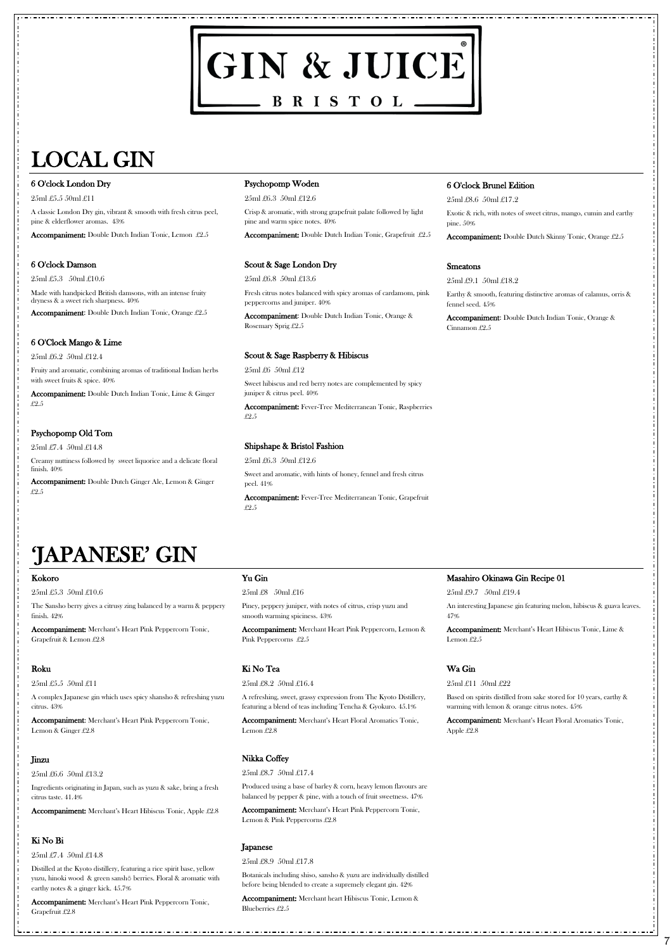# 'JAPANESE' GIN

**7**

# GIN & JUICE  $-$  BRISTOL $-$

# LOCAL GIN

#### 6 O'clock London Dry

25ml £5.5 50ml £11

A classic London Dry gin, vibrant & smooth with fresh citrus peel, pine & elderflower aromas. 43%

Accompaniment: Double Dutch Indian Tonic, Lemon £2.5

#### 6 O'clock Damson

25ml £5.3 50ml £10.6

Made with handpicked British damsons, with an intense fruity dryness & a sweet rich sharpness. 40%

Accompaniment: Double Dutch Indian Tonic, Orange £2.5

# 6 O'Clock Mango & Lime

25ml £6.2 50ml £12.4

Fruity and aromatic, combining aromas of traditional Indian herbs with sweet fruits & spice. 40%

Accompaniment: Double Dutch Indian Tonic, Lime & Ginger £2.5

# Psychopomp Old Tom

25ml £7.4 50ml £14.8

Creamy nuttiness followed by sweet liquorice and a delicate floral finish. 40%

Accompaniment: Double Dutch Ginger Ale, Lemon & Ginger £2.5

#### Psychopomp Woden

25ml £6.3 50ml £12.6

Crisp & aromatic, with strong grapefruit palate followed by light pine and warm spice notes. 40%

Accompaniment: Double Dutch Indian Tonic, Grapefruit £2.5

#### Scout & Sage London Dry

25ml £6.8 50ml £13.6

Fresh citrus notes balanced with spicy aromas of cardamom, pink peppercorns and juniper. 40%

Accompaniment: Double Dutch Indian Tonic, Orange & Rosemary Sprig £2.5

# Scout & Sage Raspberry & Hibiscus

25ml £6 50ml £12

Sweet hibiscus and red berry notes are complemented by spicy juniper & citrus peel. 40%

Accompaniment: Fever-Tree Mediterranean Tonic, Raspberries £2.5

# Shipshape & Bristol Fashion

25ml £6.3 50ml £12.6 Sweet and aromatic, with hints of honey, fennel and fresh citrus peel. 41%

Accompaniment: Fever-Tree Mediterranean Tonic, Grapefruit £2.5

# 6 O'clock Brunel Edition

25ml £8.6 50ml £17.2

Exotic & rich, with notes of sweet citrus, mango, cumin and earthy pine. 50%

Accompaniment: Double Dutch Skinny Tonic, Orange £2.5

#### Smeatons

25ml £9.1 50ml £18.2

Earthy & smooth, featuring distinctive aromas of calamus, orris & fennel seed. 45%

Accompaniment: Double Dutch Indian Tonic, Orange & Cinnamon £2.5

#### Kokoro

25ml £5.3 50ml £10.6

The Sansho berry gives a citrusy zing balanced by a warm & peppery finish. 42%

Accompaniment: Merchant's Heart Pink Peppercorn Tonic, Grapefruit & Lemon £2.8

# Roku

#### 25ml £5.5 50ml £11

A complex Japanese gin which uses spicy shansho & refreshing yuzu citrus. 43%

Accompaniment: Merchant's Heart Pink Peppercorn Tonic, Lemon & Ginger £2.8

#### Jinzu

25ml £6.6 50ml £13.2

Ingredients originating in Japan, such as yuzu & sake, bring a fresh citrus taste. 41.4%

Accompaniment: Merchant's Heart Hibiscus Tonic, Apple £2.8

#### Ki No Bi

25ml £7.4 50ml £14.8

Distilled at the Kyoto distillery, featuring a rice spirit base, yellow yuzu, hinoki wood & green sanshō berries. Floral & aromatic with earthy notes & a ginger kick. 45.7%

Accompaniment: Merchant's Heart Pink Peppercorn Tonic, Grapefruit £2.8

# Yu Gin

25ml £8 50ml £16

Piney, peppery juniper, with notes of citrus, crisp yuzu and smooth warming spiciness. 43%

Accompaniment: Merchant Heart Pink Peppercorn, Lemon & Pink Peppercorns £2.5

# Ki No Tea

#### 25ml £8.2 50ml £16.4

A refreshing, sweet, grassy expression from The Kyoto Distillery, featuring a blend of teas including Tencha & Gyokuro. 45.1%

Accompaniment: Merchant's Heart Floral Aromatics Tonic, Lemon £2.8

#### Nikka Coffey

25ml £8.7 50ml £17.4

Produced using a base of barley & corn, heavy lemon flavours are balanced by pepper & pine, with a touch of fruit sweetness. 47%

Accompaniment: Merchant's Heart Pink Peppercorn Tonic, Lemon & Pink Peppercorns £2.8

#### Japanese

25ml £8.9 50ml £17.8

Botanicals including shiso, sansho & yuzu are individually distilled before being blended to create a supremely elegant gin. 42%

Accompaniment: Merchant heart Hibiscus Tonic, Lemon & Blueberries £2.5

Masahiro Okinawa Gin Recipe 01

25ml £9.7 50ml £19.4

An interesting Japanese gin featuring melon, hibiscus & guava leaves. 47%

Accompaniment: Merchant's Heart Hibiscus Tonic, Lime & Lemon £2.5

# Wa Gin

25ml £11 50ml £22

Based on spirits distilled from sake stored for 10 years, earthy & warming with lemon & orange citrus notes. 45%

Accompaniment: Merchant's Heart Floral Aromatics Tonic, Apple £2.8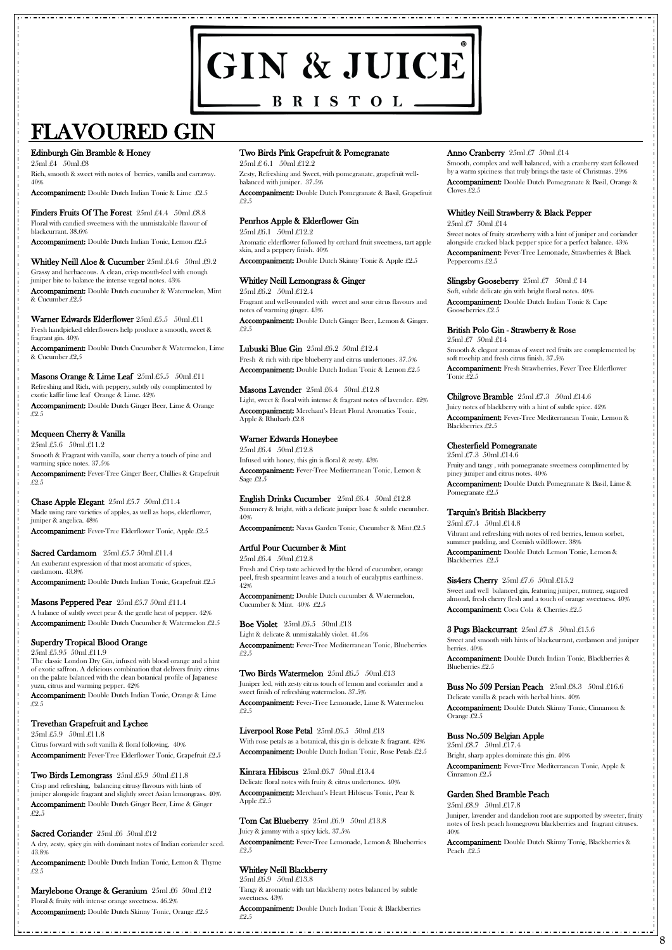# GIN & JUICE  $-$  BRISTOL $-$

# FLAVOURED GIN

**8**

### Edinburgh Gin Bramble & Honey

25ml £4 50ml £8

Rich, smooth & sweet with notes of berries, vanilla and carraway. 40%

Finders Fruits Of The Forest 25ml £4.4 50ml £8.8 Floral with candied sweetness with the unmistakable flavour of blackcurrant. 38.6%

Accompaniment: Double Dutch Indian Tonic & Lime £2.5

Accompaniment: Double Dutch Indian Tonic, Lemon £2.5

# Whitley Neill Aloe & Cucumber 25ml £4.6 50ml £9.2

Warner Edwards Elderflower 25ml £5.5 50ml £11 Fresh handpicked elderflowers help produce a smooth, sweet & fragrant gin. 40%

Grassy and herbaceous. A clean, crisp mouth-feel with enough juniper bite to balance the intense vegetal notes. 43%

Accompaniment: Double Dutch cucumber & Watermelon, Mint & Cucumber £2.5

Accompaniment: Double Dutch Cucumber & Watermelon, Lime & Cucumber £2,5

# Masons Orange & Lime Leaf  $25ml \pounds 5.5 \quad 50ml \pounds 11$

Sacred Cardamom 25ml £5.7 50ml £11.4 An exuberant expression of that most aromatic of spices, cardamom. 43.8% Accompaniment: Double Dutch Indian Tonic, Grapefruit £2.5

# Masons Peppered Pear 25ml £5.7 50ml £11.4 A balance of subtly sweet pear & the gentle heat of pepper. 42%

Refreshing and Rich, with peppery, subtly oily complimented by exotic kaffir lime leaf Orange & Lime. 42% Accompaniment: Double Dutch Ginger Beer, Lime & Orange £2.5

# Mcqueen Cherry & Vanilla

25ml £5.6 50ml £11.2 Smooth & Fragrant with vanilla, sour cherry a touch of pine and warming spice notes. 37.5%

Accompaniment: Fever-Tree Ginger Beer, Chillies & Grapefruit £2.5

#### Chase Apple Elegant 25ml £5.7 50ml £11.4

Sacred Coriander 25ml £6 50ml £12 A dry, zesty, spicy gin with dominant notes of Indian coriander seed. 43.8%

Made using rare varieties of apples, as well as hops, elderflower, juniper & angelica. 48% Accompaniment: Fever-Tree Elderflower Tonic, Apple £2.5

Accompaniment: Double Dutch Cucumber & Watermelon £2.5

# Superdry Tropical Blood Orange

25ml £5.95 50ml £11.9

Lubuski Blue Gin  $25ml \pounds 6.2 50ml \pounds 12.4$ Fresh & rich with ripe blueberry and citrus undertones. 37.5% Accompaniment: Double Dutch Indian Tonic & Lemon £2.5

#### Masons Lavender 25ml £6.4 50ml £12.8

The classic London Dry Gin, infused with blood orange and a hint of exotic saffron. A delicious combination that delivers fruity citrus on the palate balanced with the clean botanical profile of Japanese yuzu, citrus and warming pepper. 42%

Accompaniment: Double Dutch Indian Tonic, Orange & Lime £2.5

Trevethan Grapefruit and Lychee 25ml £5.9 50ml £11.8 Citrus forward with soft vanilla & floral following. 40% Accompaniment: Fever-Tree Elderflower Tonic, Grapefruit £2.5

Two Birds Lemongrass 25ml £5.9 50ml £11.8 Crisp and refreshing, balancing citrusy flavours with hints of juniper alongside fragrant and slightly sweet Asian lemongrass. 40% Accompaniment: Double Dutch Ginger Beer, Lime & Ginger £2.5

Liverpool Rose Petal  $25ml \pounds 6.5 \quad 50ml \pounds 13$ With rose petals as a botanical, this gin is delicate & fragrant. 42% Accompaniment: Double Dutch Indian Tonic, Rose Petals £2.5

#### **Kinrara Hibiscus**  $25ml \pounds 6.7 \pmod{213.4}$

Accompaniment: Double Dutch Indian Tonic, Lemon & Thyme £2.5

Marylebone Orange & Geranium 25ml £6 50ml £12 Floral & fruity with intense orange sweetness. 46.2% Accompaniment: Double Dutch Skinny Tonic, Orange £2.5

### Two Birds Pink Grapefruit & Pomegranate

25ml £ 6.1 50ml £12.2

Zesty, Refreshing and Sweet, with pomegranate, grapefruit wellbalanced with juniper. 37.5%

Accompaniment: Double Dutch Pomegranate & Basil, Grapefruit £2.5

# Penrhos Apple & Elderflower Gin

25ml £6.1 50ml £12.2 Aromatic elderflower followed by orchard fruit sweetness, tart apple skin, and a peppery finish. 40%

Accompaniment: Double Dutch Skinny Tonic & Apple £2.5

# Whitley Neill Lemongrass & Ginger

25ml £6.2 50ml £12.4 Fragrant and well-rounded with sweet and sour citrus flavours and notes of warming ginger. 43% Accompaniment: Double Dutch Ginger Beer, Lemon & Ginger.

£2.5

Buss No 509 Persian Peach 25ml £8.3 50ml £16.6 Delicate vanilla & peach with herbal hints. 40%

Light, sweet & floral with intense & fragrant notes of lavender. 42% Accompaniment: Merchant's Heart Floral Aromatics Tonic, Apple & Rhubarb £2.8

# Warner Edwards Honeybee

25ml £6.4 50ml £12.8 Infused with honey, this gin is floral & zesty. 43% Accompaniment: Fever-Tree Mediterranean Tonic, Lemon & Sage £2.5

English Drinks Cucumber 25ml £6.4 50ml £12.8 Summery & bright, with a delicate juniper base & subtle cucumber. 40%

Accompaniment: Navas Garden Tonic, Cucumber & Mint £2.5

#### Artful Pour Cucumber & Mint

25ml £6.4 50ml £12.8 Fresh and Crisp taste achieved by the blend of cucumber, orange peel, fresh spearmint leaves and a touch of eucalyptus earthiness. 42%

Accompaniment: Double Dutch cucumber & Watermelon, Cucumber & Mint. 40% £2.5

#### Boe Violet  $25ml £6.5$   $50ml £13$

Light & delicate & unmistakably violet. 41.5% Accompaniment: Fever-Tree Mediterranean Tonic, Blueberries £2.5

#### Two Birds Watermelon 25ml £6.5 50ml £13

Juniper led, with zesty citrus touch of lemon and coriander and a sweet finish of refreshing watermelon. 37.5%

Accompaniment: Fever-Tree Lemonade, Lime & Watermelon £2.5

#### Anno Cranberry  $25ml\pounds7$  50ml  $\pounds14$

Delicate floral notes with fruity & citrus undertones. 40% Accompaniment: Merchant's Heart Hibiscus Tonic, Pear & Apple £2.5

#### Tom Cat Blueberry 25ml £6.9 50ml £13.8

Juicy & jammy with a spicy kick. 37.5% Accompaniment: Fever-Tree Lemonade, Lemon & Blueberries £2.5

#### Whitley Neill Blackberry

25ml £6.9 50ml £13.8

Tangy & aromatic with tart blackberry notes balanced by subtle sweetness. 43%

Accompaniment: Double Dutch Indian Tonic & Blackberries £2.5

Smooth, complex and well balanced, with a cranberry start followed by a warm spiciness that truly brings the taste of Christmas. 29% Accompaniment: Double Dutch Pomegranate & Basil, Orange & Cloves £2.5

# Whitley Neill Strawberry & Black Pepper

25ml £7 50ml £14

Sweet notes of fruity strawberry with a hint of juniper and coriander alongside cracked black pepper spice for a perfect balance. 43% Accompaniment: Fever-Tree Lemonade, Strawberries & Black Peppercorns £2.5

### Slingsby Gooseberry  $25ml\pounds7$   $50ml\pounds14$

Soft, subtle delicate gin with bright floral notes. 40% Accompaniment: Double Dutch Indian Tonic & Cape Gooseberries £2.5

#### British Polo Gin - Strawberry & Rose 25ml £7 50ml £14

Smooth & elegant aromas of sweet red fruits are complemented by soft rosehip and fresh citrus finish. 37.5%

Accompaniment: Fresh Strawberries, Fever Tree Elderflower Tonic £2.5

# Chilgrove Bramble  $25ml \pounds 7.3$   $50ml \pounds 14.6$

Juicy notes of blackberry with a hint of subtle spice. 42% Accompaniment: Fever-Tree Mediterranean Tonic, Lemon & Blackberries £2.5

#### Chesterfield Pomegranate

25ml £7.3 50ml £14.6 Fruity and tangy , with pomegranate sweetness complimented by piney juniper and citrus notes. 40%

Accompaniment: Double Dutch Pomegranate & Basil, Lime & Pomegranate £2.5

# Tarquin's British Blackberry

25ml £7.4 50ml £14.8 Vibrant and refreshing with notes of red berries, lemon sorbet, summer pudding, and Cornish wildflower. 38% Accompaniment: Double Dutch Lemon Tonic, Lemon & Blackberries £2.5

#### Sis4ers Cherry  $25ml \pounds 7.6 \pmod{215.2}$

Sweet and well balanced gin, featuring juniper, nutmeg, sugared almond, fresh cherry flesh and a touch of orange sweetness. 40% Accompaniment: Coca Cola & Cherries £2.5

3 Pugs Blackcurrant 25ml £7.8 50ml £15.6

Sweet and smooth with hints of blackcurrant, cardamon and juniper berries. 40%

Accompaniment: Double Dutch Indian Tonic, Blackberries & Blueberries £2.5

Accompaniment: Double Dutch Skinny Tonic, Cinnamon & Orange £2.5

### Buss No.509 Belgian Apple

25ml £8.7 50ml £17.4 Bright, sharp apples dominate this gin. 40% Accompaniment: Fever-Tree Mediterranean Tonic, Apple & Cinnamon £2.5

#### Garden Shed Bramble Peach

25ml £8.9 50ml £17.8

Juniper, lavender and dandelion root are supported by sweeter, fruity notes of fresh peach homegrown blackberries and fragrant citruses. 40%

Accompaniment: Double Dutch Skinny Tonic, Blackberries & Peach £2.5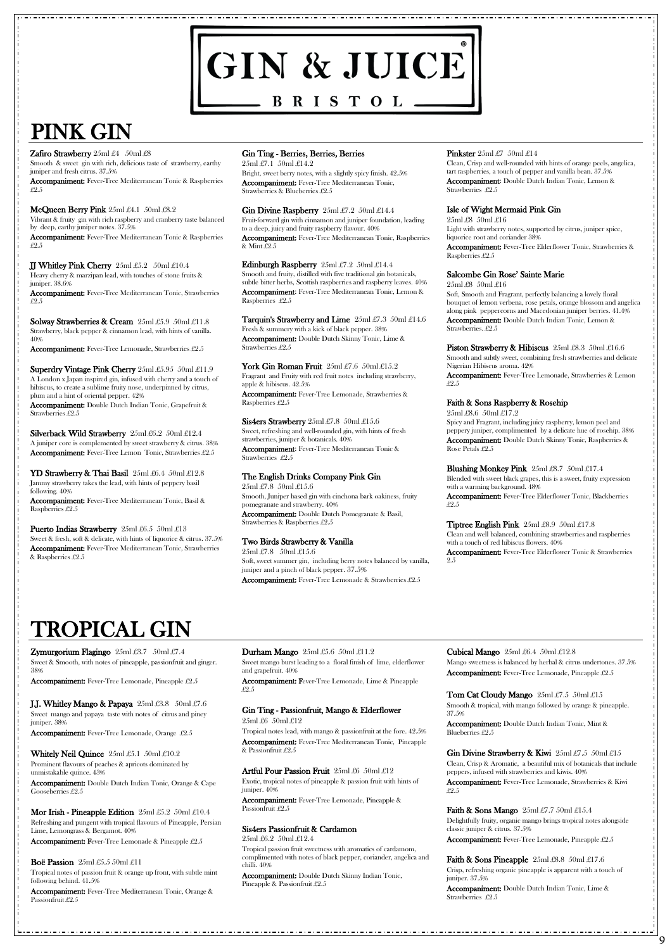# GIN & JUICE BRISTOL\_

# PINK GIN

#### Zafiro Strawberry 25ml £4 50ml £8

# TROPICAL GIN

**9**

Smooth & sweet gin with rich, delicious taste of strawberry, earthy juniper and fresh citrus. 37.5%

Accompaniment: Fever-Tree Mediterranean Tonic & Raspberries £2.5

McQueen Berry Pink 25ml £4.1 50ml £8.2 Vibrant & fruity gin with rich raspberry and cranberry taste balanced by deep, earthy juniper notes. 37.5%

Solway Strawberries & Cream 25ml £5.9 50ml £11.8 Strawberry, black pepper & cinnamon lead, with hints of vanilla. 40%

Accompaniment: Fever-Tree Lemonade, Strawberries £2.5

Accompaniment: Fever-Tree Mediterranean Tonic & Raspberries £2.5

# JJ Whitley Pink Cherry 25ml £5.2 50ml £10.4

Heavy cherry & marzipan lead, with touches of stone fruits & juniper. 38.6%

Superdry Vintage Pink Cherry 25ml £5.95 50ml £11.9 A London x Japan inspired gin, infused with cherry and a touch of hibiscus, to create a sublime fruity nose, underpinned by citrus, plum and a hint of oriental pepper. 42% Accompaniment: Double Dutch Indian Tonic, Grapefruit & Strawberries £2.5

Silverback Wild Strawberry 25ml £6.2 50ml £12.4 A juniper core is complemented by sweet strawberry & citrus. 38% Accompaniment: Fever-Tree Lemon Tonic, Strawberries £2.5

Accompaniment: Fever-Tree Mediterranean Tonic, Strawberries £2.5

**YD Strawberry & Thai Basil**  $25ml \pounds 6.4 \pmod{212.8}$ Jammy strawberry takes the lead, with hints of peppery basil following. 40%

Puerto Indias Strawberry 25ml £6.5 50ml £13 Sweet & fresh, soft & delicate, with hints of liquorice & citrus. 37.5% Accompaniment: Fever-Tree Mediterranean Tonic, Strawberries & Raspberries £2.5

Gin Divine Raspberry 25ml £7.2 50ml £14.4 Fruit-forward gin with cinnamon and juniper foundation, leading to a deep, juicy and fruity raspberry flavour. 40% Accompaniment: Fever-Tree Mediterranean Tonic, Raspberries & Mint £2.5

Tarquin's Strawberry and Lime  $25ml \pounds 7.3 \text{ } 50ml \pounds 14.6$ Fresh & summery with a kick of black pepper. 38% Accompaniment: Double Dutch Skinny Tonic, Lime & Strawberries £2.5

York Gin Roman Fruit 25ml £7.6 50ml £15.2 Fragrant and Fruity with red fruit notes including strawberry, apple & hibiscus. 42.5%

Accompaniment: Fever-Tree Mediterranean Tonic, Basil & Raspberries £2.5

Sis4ers Strawberry 25ml £7.8 50ml £15.6 Sweet, refreshing and well-rounded gin, with hints of fresh strawberries, juniper & botanicals. 40% Accompaniment: Fever-Tree Mediterranean Tonic & Strawberries £2.5

# Gin Ting - Berries, Berries, Berries

25ml £7.1 50ml £14.2 Bright, sweet berry notes, with a slightly spicy finish. 42.5% Accompaniment: Fever-Tree Mediterranean Tonic, Strawberries & Blueberries £2.5

> Soft, Smooth and Fragrant, perfectly balancing a lovely floral bouquet of lemon verbena, rose petals, orange blossom and angelica along pink peppercorns and Macedonian juniper berries. 41.4% Accompaniment: Double Dutch Indian Tonic, Lemon & Strawberries. £2.5

Piston Strawberry & Hibiscus 25ml £8.3 50ml £16.6 Smooth and subtly sweet, combining fresh strawberries and delicate Nigerian Hibiscus aroma. 42%

Edinburgh Raspberry 25ml £7.2 50ml £14.4 Smooth and fruity, distilled with five traditional gin botanicals, subtle bitter herbs, Scottish raspberries and raspberry leaves. 40% Accompaniment: Fever-Tree Mediterranean Tonic, Lemon & Raspberries £2.5

> Blushing Monkey Pink 25ml £8.7 50ml £17.4 Blended with sweet black grapes, this is a sweet, fruity expression with a warming background. 48%

**Zymurgorium Flagingo**  $25ml \pounds3.7$   $50ml \pounds7.4$ Sweet & Smooth, with notes of pineapple, passionfruit and ginger. 38%

J.J. Whitley Mango & Papaya 25ml £3.8 50ml £7.6 Sweet mango and papaya taste with notes of citrus and piney Durham Mango  $25ml \pounds 5.6$   $50ml \pounds 11.2$ 

Accompaniment: Fever-Tree Lemonade, Strawberries & Raspberries £2.5

Whitely Neil Quince  $25ml \pounds 5.1 \pmod{210.2}$ Prominent flavours of peaches & apricots dominated by unmistakable quince. 43%

#### Mor Irish - Pineapple Edition 25ml £5.2 50ml £10.4 Refreshing and pungent with tropical flavours of Pineapple, Persian Lime, Lemongrass & Bergamot. 40%

# The English Drinks Company Pink Gin

25ml £7.8 50ml £15.6 Smooth, Juniper based gin with cinchona bark oakiness, fruity pomegranate and strawberry. 40% Accompaniment: Double Dutch Pomegranate & Basil, Strawberries & Raspberries £2.5

# Two Birds Strawberry & Vanilla

25ml £7.8 50ml £15.6 Soft, sweet summer gin, including berry notes balanced by vanilla, juniper and a pinch of black pepper. 37.5% Accompaniment: Fever-Tree Lemonade & Strawberries £2.5

#### **Pinkster**  $25ml \pounds 7$   $50ml \pounds 14$

Mango sweetness is balanced by herbal & citrus undertones. 37.5% Accompaniment: Fever-Tree Lemonade, Pineapple £2.5

Clean, Crisp and well-rounded with hints of orange peels, angelica, tart raspberries, a touch of pepper and vanilla bean. 37.5% Accompaniment: Double Dutch Indian Tonic, Lemon & Strawberries £2.5

Tom Cat Cloudy Mango  $25ml \pounds 7.5 \text{ 50ml } \pounds 15$ Smooth & tropical, with mango followed by orange & pineapple. 37.5%

### Isle of Wight Mermaid Pink Gin

25ml £8 50ml £16 Light with strawberry notes, supported by citrus, juniper spice, liquorice root and coriander 38%

Accompaniment: Fever-Tree Elderflower Tonic, Strawberries & Raspberries £2.5

# Salcombe Gin Rose' Sainte Marie

25ml £8 50ml £16

Accompaniment: Fever-Tree Lemonade, Strawberries & Lemon £2.5

# Faith & Sons Raspberry & Rosehip

25ml £8.6 50ml £17.2

Spicy and Fragrant, including juicy raspberry, lemon peel and peppery juniper, complimented by a delicate hue of rosehip. 38% Accompaniment: Double Dutch Skinny Tonic, Raspberries & Rose Petals £2.5

Accompaniment: Fever-Tree Elderflower Tonic, Blackberries £2.5

Tiptree English Pink 25ml £8.9 50ml £17.8 Clean and well balanced, combining strawberries and raspberries

with a touch of red hibiscus flowers. 40%

Accompaniment: Fever-Tree Elderflower Tonic & Strawberries 2.5

Accompaniment: Fever-Tree Lemonade, Pineapple £2.5

juniper. 38%

Accompaniment: Fever-Tree Lemonade, Orange £2.5

Accompaniment: Double Dutch Indian Tonic, Orange & Cape Gooseberries £2.5

Accompaniment: Fever-Tree Lemonade & Pineapple £2.5

#### Boë Passion  $25ml \pounds 5.5 50ml \pounds 11$

Tropical notes of passion fruit & orange up front, with subtle mint following behind. 41.5%

Accompaniment: Fever-Tree Mediterranean Tonic, Orange & Passionfruit £2.5

Sweet mango burst leading to a floral finish of lime, elderflower and grapefruit. 40%

Accompaniment: Fever-Tree Lemonade, Lime & Pineapple £2.5

# Gin Ting - Passionfruit, Mango & Elderflower

#### 25ml £6 50ml £12

Tropical notes lead, with mango & passionfruit at the fore. 42.5% Accompaniment: Fever-Tree Mediterranean Tonic, Pineapple & Passionfruit £2.5

#### Artful Pour Passion Fruit 25ml £6 50ml £12

Exotic, tropical notes of pineapple & passion fruit with hints of juniper. 40%

Accompaniment: Fever-Tree Lemonade, Pineapple & Passionfruit £2.5

#### Sis4ers Passionfruit & Cardamon

25ml £6.2 50ml £12.4

Tropical passion fruit sweetness with aromatics of cardamom, complimented with notes of black pepper, coriander, angelica and chilli. 40%

Accompaniment: Double Dutch Skinny Indian Tonic, Pineapple & Passionfruit £2.5

# Cubical Mango 25ml £6.4 50ml £12.8

Accompaniment: Double Dutch Indian Tonic, Mint & Blueberries £2.5

#### Gin Divine Strawberry & Kiwi  $25ml\pounds7.5\text{ }50ml\pounds15$

Clean, Crisp & Aromatic, a beautiful mix of botanicals that include peppers, infused with strawberries and kiwis. 40%

Accompaniment: Fever-Tree Lemonade, Strawberries & Kiwi £2.5

#### Faith & Sons Mango  $25ml \pounds 7.7 50ml \pounds 15.4$

Delightfully fruity, organic mango brings tropical notes alongside classic juniper & citrus. 37.5%

Accompaniment: Fever-Tree Lemonade, Pineapple £2.5

#### Faith & Sons Pineapple 25ml £8.8 50ml £17.6

Crisp, refreshing organic pineapple is apparent with a touch of juniper. 37.5%

Accompaniment: Double Dutch Indian Tonic, Lime & Strawberries £2.5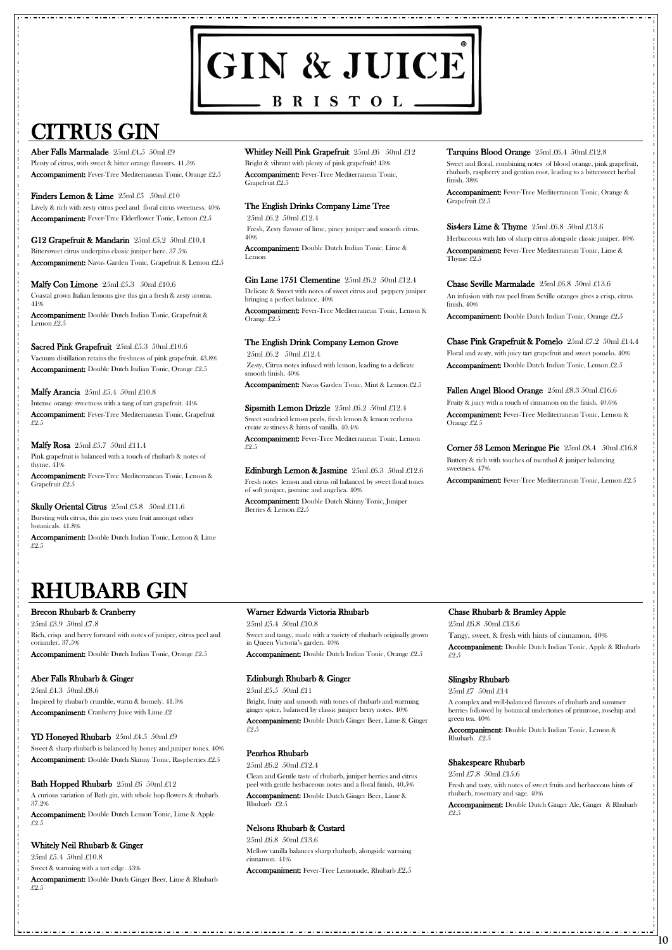# GIN & JUICE

**BRISTOL** 

# CITRUS GIN

# RHUBARB GIN

**10**

Aber Falls Marmalade 25ml £4.5 50ml £9 Plenty of citrus, with sweet & bitter orange flavours.  $41.3\%$ Accompaniment: Fever-Tree Mediterranean Tonic, Orange £2.5

Finders Lemon & Lime  $25ml\text{ }\pounds5$  50ml  $\pounds10$ Lively & rich with zesty citrus peel and floral citrus sweetness. 40% Accompaniment: Fever-Tree Elderflower Tonic, Lemon £2.5

Malfy Con Limone  $25ml \pounds 5.3$  50ml  $\pounds 10.6$ Coastal grown Italian lemons give this gin a fresh & zesty aroma. 41%

Sacred Pink Grapefruit 25ml £5.3 50ml £10.6 Vacuum distillation retains the freshness of pink grapefruit. 43.8% Accompaniment: Double Dutch Indian Tonic, Orange £2.5

G12 Grapefruit & Mandarin 25ml £5.2 50ml £10.4 Bittersweet citrus underpins classic juniper here. 37.5% Accompaniment: Navas Garden Tonic, Grapefruit & Lemon £2.5

Malfy Arancia  $25ml \pounds 5.4$   $50ml \pounds 10.8$ Intense orange sweetness with a tang of tart grapefruit. 41% Accompaniment: Fever-Tree Mediterranean Tonic, Grapefruit £2.5

**Malfy Rosa**  $25ml £5.7 50ml £11.4$ Pink grapefruit is balanced with a touch of rhubarb & notes of thyme. 41%

Accompaniment: Double Dutch Indian Tonic, Grapefruit & Lemon £2.5

Whitley Neill Pink Grapefruit 25ml £6 50ml £12 Bright & vibrant with plenty of pink grapefruit! 43% Accompaniment: Fever-Tree Mediterranean Tonic, Grapefruit £2.5

Gin Lane 1751 Clementine 25ml £6.2 50ml £12.4 Delicate & Sweet with notes of sweet citrus and peppery juniper bringing a perfect balance. 40%

Sipsmith Lemon Drizzle 25ml £6.2 50ml £12.4 Sweet sundried lemon peels, fresh lemon & lemon verbena create zestiness & hints of vanilla. 40.4%

Accompaniment: Fever-Tree Mediterranean Tonic, Lemon & Grapefruit £2.5

**Skully Oriental Citrus**  $25ml £5.8$   $50ml £11.6$ 

Edinburgh Lemon & Jasmine 25ml £6.3 50ml £12.6 Fresh notes lemon and citrus oil balanced by sweet floral tones of soft juniper, jasmine and angelica. 40%

Bursting with citrus, this gin uses yuzu fruit amongst other botanicals. 41.8%

Accompaniment: Double Dutch Indian Tonic, Lemon & Lime £2.5

The English Drinks Company Lime Tree 25ml £6.2 50ml £12.4 Fresh, Zesty flavour of lime, piney juniper and smooth citrus. 40%

Accompaniment: Double Dutch Indian Tonic, Lime & Lemon

Accompaniment: Fever-Tree Mediterranean Tonic, Lemon & Orange £2.5

# The English Drink Company Lemon Grove

25ml £4.3 50ml £8.6 Inspired by rhubarb crumble, warm & homely. 41.3% Accompaniment: Cranberry Juice with Lime £2

25ml £6.2 50ml £12.4 Zesty, Citrus notes infused with lemon, leading to a delicate smooth finish. 40%

Accompaniment: Navas Garden Tonic, Mint & Lemon £2.5

Accompaniment: Fever-Tree Mediterranean Tonic, Lemon £2.5

Accompaniment: Double Dutch Skinny Tonic, Juniper Berries & Lemon £2.5

#### Tarquins Blood Orange 25ml £6.4 50ml £12.8

Sweet and floral, combining notes of blood orange, pink grapefruit, rhubarb, raspberry and gentian root, leading to a bittersweet herbal finish. 38%

Accompaniment: Fever-Tree Mediterranean Tonic, Orange & Grapefruit £2.5

Sis4ers Lime & Thyme  $25ml \pounds 6.8 \pmod{213.6}$ 

Herbaceous with hits of sharp citrus alongside classic juniper. 40% Accompaniment: Fever-Tree Mediterranean Tonic, Lime & Thyme £2.5

Chase Seville Marmalade 25ml £6.8 50ml £13.6 An infusion with raw peel from Seville oranges gives a crisp, citrus finish. 40%

Accompaniment: Double Dutch Indian Tonic, Orange £2.5

Chase Pink Grapefruit & Pomelo 25ml £7.2 50ml £14.4 Floral and zesty, with juicy tart grapefruit and sweet pomelo. 40% Accompaniment: Double Dutch Indian Tonic, Lemon £2.5

Fallen Angel Blood Orange 25ml £8.3 50ml £16.6 Fruity & juicy with a touch of cinnamon on the finish. 40.6% Accompaniment: Fever-Tree Mediterranean Tonic, Lemon & Orange £2.5

Corner 53 Lemon Meringue Pie 25ml £8.4 50ml £16.8 Buttery & rich with touches of menthol & juniper balancing sweetness. 47%

Accompaniment: Fever-Tree Mediterranean Tonic, Lemon £2.5

# Brecon Rhubarb & Cranberry

25ml £3.9 50ml £7.8 Rich, crisp and berry forward with notes of juniper, citrus peel and coriander. 37.5%

Accompaniment: Double Dutch Indian Tonic, Orange £2.5

# Aber Falls Rhubarb & Ginger

Sweet & sharp rhubarb is balanced by honey and juniper tones. 40% Accompaniment: Double Dutch Skinny Tonic, Raspberries £2.5

Bath Hopped Rhubarb 25ml £6 50ml £12

A curious variation of Bath gin, with whole hop flowers & rhubarb. 37.2%

Accompaniment: Double Dutch Lemon Tonic, Lime & Apple £2.5

#### Whitely Neil Rhubarb & Ginger

25ml £5.4 50ml £10.8

Sweet & warming with a tart edge. 43%

Accompaniment: Double Dutch Ginger Beer, Lime & Rhubarb £2.5

# Warner Edwards Victoria Rhubarb

25ml £5.4 50ml £10.8 Sweet and tangy, made with a variety of rhubarb originally grown in Queen Victoria's garden. 40%

Accompaniment: Double Dutch Indian Tonic, Orange £2.5

# Edinburgh Rhubarb & Ginger

25ml £5.5 50ml £11 Bright, fruity and smooth with tones of rhubarb and warming ginger spice, balanced by classic juniper berry notes. 40%

Accompaniment: Double Dutch Ginger Beer, Lime & Ginger £2.5

# Penrhos Rhubarb

25ml £6.2 50ml £12.4

Clean and Gentle taste of rhubarb, juniper berries and citrus peel with gentle herbaceous notes and a floral finish. 40.5%

Accompaniment: Double Dutch Ginger Beer, Lime & Rhubarb £2.5

### Nelsons Rhubarb & Custard

25ml £6.8 50ml £13.6

Mellow vanilla balances sharp rhubarb, alongside warming cinnamon. 41%

Accompaniment: Fever-Tree Lemonade, Rhubarb £2.5

# Chase Rhubarb & Bramley Apple

25ml £6.8 50ml £13.6 Tangy, sweet, & fresh with hints of cinnamon. 40% Accompaniment: Double Dutch Indian Tonic, Apple & Rhubarb £2.5

# Slingsby Rhubarb

25ml £7 50ml £14

A complex and well-balanced flavours of rhubarb and summer berries followed by botanical undertones of primrose, rosehip and

#### YD Honeyed Rhubarb 25ml £4.5 50ml £9

green tea. 40%

Accompaniment: Double Dutch Indian Tonic, Lemon & Rhubarb. £2.5

## Shakespeare Rhubarb

25ml £7.8 50ml £15.6

Fresh and tasty, with notes of sweet fruits and herbaceous hints of rhubarb, rosemary and sage. 40%

Accompaniment: Double Dutch Ginger Ale, Ginger & Rhubarb £2.5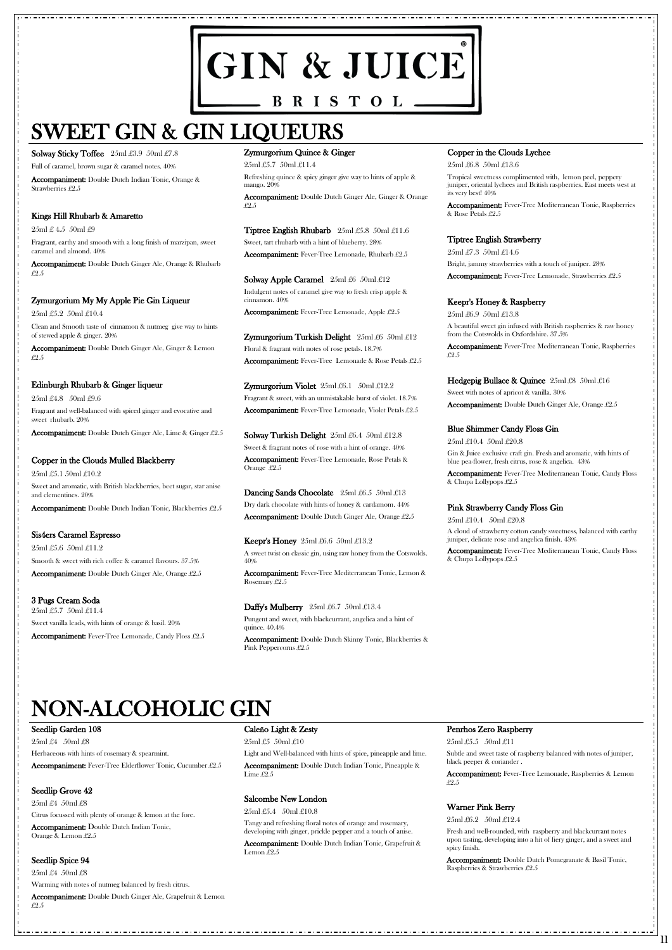# GIN & JUICE BRISTOL\_

# SWEET GIN & GIN LIQUEURS

Solway Sticky Toffee 25ml £3.9 50ml £7.8

# NON-ALCOHOLIC GIN

**11**

Full of caramel, brown sugar & caramel notes. 40%

Accompaniment: Double Dutch Indian Tonic, Orange & Strawberries £2.5

#### Kings Hill Rhubarb & Amaretto

 $25ml \pounds 4.5$  50ml  $\pounds 9$ 

Fragrant, earthy and smooth with a long finish of marzipan, sweet caramel and almond. 40%

Accompaniment: Double Dutch Ginger Ale, Orange & Rhubarb £2.5

# Zymurgorium My My Apple Pie Gin Liqueur

25ml £5.2 50ml £10.4

Clean and Smooth taste of cinnamon & nutmeg give way to hints of stewed apple & ginger. 20%

Accompaniment: Double Dutch Ginger Ale, Ginger & Lemon £2.5

#### Edinburgh Rhubarb & Ginger liqueur

25ml £4.8 50ml £9.6 Fragrant and well-balanced with spiced ginger and evocative and sweet rhubarb. 20%

Accompaniment: Double Dutch Ginger Ale, Lime & Ginger £2.5

Tiptree English Rhubarb 25ml £5.8 50ml £11.6 Sweet, tart rhubarb with a hint of blueberry. 28% Accompaniment: Fever-Tree Lemonade, Rhubarb £2.5

# Copper in the Clouds Mulled Blackberry

Solway Apple Caramel  $25ml \pounds 6 \quad 50ml \pounds 12$ Indulgent notes of caramel give way to fresh crisp apple & cinnamon. 40%

25ml £5.1 50ml £10.2 Sweet and aromatic, with British blackberries, beet sugar, star anise and clementines. 20%

Accompaniment: Double Dutch Indian Tonic, Blackberries £2.5

Sis4ers Caramel Espresso 25ml £5.6 50ml £11.2 Smooth & sweet with rich coffee & caramel flavours. 37.5% Solway Turkish Delight 25ml £6.4 50ml £12.8 Sweet & fragrant notes of rose with a hint of orange. 40% Accompaniment: Fever-Tree Lemonade, Rose Petals & Orange £2.5

Dancing Sands Chocolate 25ml £6.5 50ml £13 Dry dark chocolate with hints of honey & cardamom. 44% Accompaniment: Double Dutch Ginger Ale, Orange £2.5

Accompaniment: Double Dutch Ginger Ale, Orange £2.5

3 Pugs Cream Soda 25ml £5.7 50ml £11.4 Sweet vanilla leads, with hints of orange & basil. 20%

Accompaniment: Fever-Tree Lemonade, Candy Floss £2.5

**Keepr's Honey**  $25ml \pounds 6.6$   $50ml \pounds 13.2$ A sweet twist on classic gin, using raw honey from the Cotswolds. 40%

#### Zymurgorium Quince & Ginger

25ml £5.7 50ml £11.4

Refreshing quince & spicy ginger give way to hints of apple & mango. 20%

Accompaniment: Double Dutch Ginger Ale, Ginger & Orange £2.5

Accompaniment: Fever-Tree Mediterranean Tonic, Raspberries & Rose Petals £2.5

Hedgepig Bullace & Quince  $25ml\ \pounds8\ 50ml\ \pounds16$ Sweet with notes of apricot & vanilla. 30% Accompaniment: Double Dutch Ginger Ale, Orange £2.5

Accompaniment: Fever-Tree Lemonade, Apple £2.5

Zymurgorium Turkish Delight  $25ml \pounds6 \quad 50ml \pounds12$ Floral & fragrant with notes of rose petals. 18.7% Accompaniment: Fever-Tree Lemonade & Rose Petals £2.5

Zymurgorium Violet 25ml £6.1 50ml £12.2 Fragrant & sweet, with an unmistakable burst of violet. 18.7% Accompaniment: Fever-Tree Lemonade, Violet Petals £2.5

Light and Well-balanced with hints of spice, pineapple and lime. Accompaniment: Double Dutch Indian Tonic, Pineapple & Lime  $£2.5$ 

Accompaniment: Fever-Tree Mediterranean Tonic, Lemon & Rosemary £2.5

#### Daffy's Mulberry 25ml £6.7 50ml £13.4

Pungent and sweet, with blackcurrant, angelica and a hint of quince. 40.4%

Accompaniment: Double Dutch Skinny Tonic, Blackberries & Pink Peppercorns £2.5

#### Copper in the Clouds Lychee

25ml £6.8 50ml £13.6

Tropical sweetness complimented with, lemon peel, peppery juniper, oriental lychees and British raspberries. East meets west at its very best! 40%

# Tiptree English Strawberry

25ml £7.3 50ml £14.6 Bright, jammy strawberries with a touch of juniper. 28% Accompaniment: Fever-Tree Lemonade, Strawberries £2.5

#### Keepr's Honey & Raspberry

25ml £6.9 50ml £13.8 A beautiful sweet gin infused with British raspberries & raw honey from the Cotswolds in Oxfordshire. 37.5%

Accompaniment: Fever-Tree Mediterranean Tonic, Raspberries £2.5

#### Blue Shimmer Candy Floss Gin

25ml £10.4 50ml £20.8

Gin & Juice exclusive craft gin. Fresh and aromatic, with hints of blue pea-flower, fresh citrus, rose & angelica. 43%

Accompaniment: Fever-Tree Mediterranean Tonic, Candy Floss & Chupa Lollypops £2.5

# Pink Strawberry Candy Floss Gin

25ml £10.4 50ml £20.8 A cloud of strawberry cotton candy sweetness, balanced with earthy juniper, delicate rose and angelica finish. 43%

Accompaniment: Fever-Tree Mediterranean Tonic, Candy Floss & Chupa Lollypops £2.5

#### Seedlip Garden 108

25ml £4 50ml £8

Herbaceous with hints of rosemary & spearmint.

Accompaniment: Fever-Tree Elderflower Tonic, Cucumber £2.5

## Seedlip Grove 42

25ml £4 50ml £8

Citrus focussed with plenty of orange & lemon at the fore.

Accompaniment: Double Dutch Indian Tonic, Orange & Lemon £2.5

# Seedlip Spice 94

25ml £4 50ml £8

Warming with notes of nutmeg balanced by fresh citrus.

Accompaniment: Double Dutch Ginger Ale, Grapefruit & Lemon £2.5

## Caleño Light & Zesty

25ml £5 50ml £10

# Salcombe New London

25ml £5.4 50ml £10.8

Tangy and refreshing floral notes of orange and rosemary, developing with ginger, prickle pepper and a touch of anise.

Accompaniment: Double Dutch Indian Tonic, Grapefruit & Lemon £2.5

#### Penrhos Zero Raspberry

25ml £5.5 50ml £11

Subtle and sweet taste of raspberry balanced with notes of juniper, black peeper & coriander .

Accompaniment: Fever-Tree Lemonade, Raspberries & Lemon £2.5

# Warner Pink Berry

25ml £6.2 50ml £12.4

Fresh and well-rounded, with raspberry and blackcurrant notes upon tasting, developing into a hit of fiery ginger, and a sweet and spicy finish.

Accompaniment: Double Dutch Pomegranate & Basil Tonic, Raspberries & Strawberries £2.5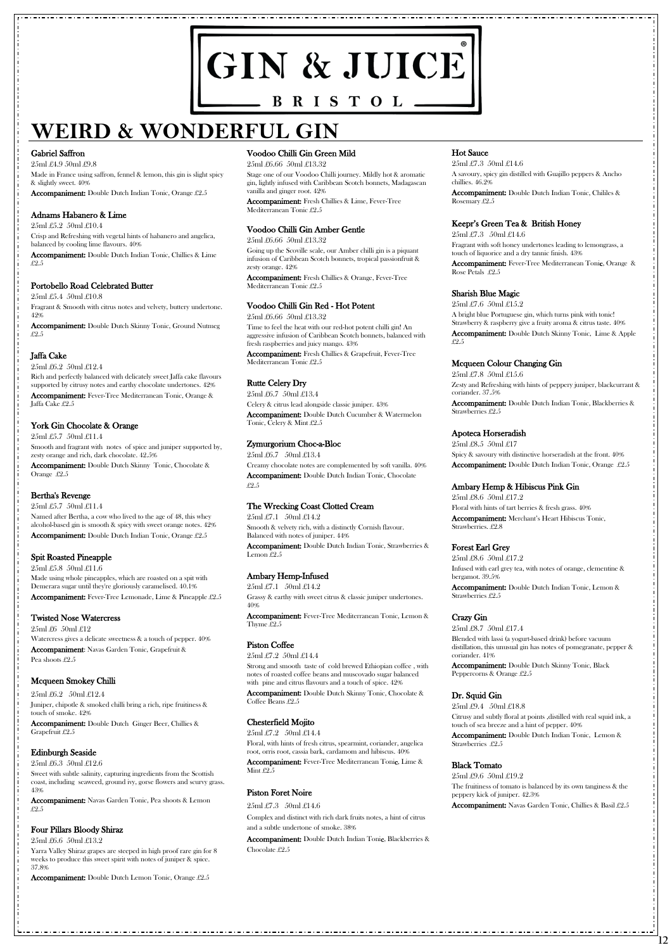# GIN & JUICE BRISTOL -

# **WEIRD & WONDERFUL GIN**

#### Gabriel Saffron

25ml £4.9 50ml £9.8 Made in France using saffron, fennel & lemon, this gin is slight spicy & slightly sweet. 40% Accompaniment: Double Dutch Indian Tonic, Orange £2.5

### Adnams Habanero & Lime

25ml £5.2 50ml £10.4 Crisp and Refreshing with vegetal hints of habanero and angelica, balanced by cooling lime flavours. 40%

Accompaniment: Double Dutch Indian Tonic, Chillies & Lime £2.5

### Portobello Road Celebrated Butter

25ml £5.4 50ml £10.8

Fragrant & Smooth with citrus notes and velvety, buttery undertone. 42%

Accompaniment: Double Dutch Skinny Tonic, Ground Nutmeg £2.5

# Jaffa Cake

25ml £6.2 50ml £12.4

Rich and perfectly balanced with delicately sweet Jaffa cake flavours supported by citrusy notes and earthy chocolate undertones. 42% Accompaniment: Fever-Tree Mediterranean Tonic, Orange & Jaffa Cake £2.5

25ml £6 50ml £12 Watercress gives a delicate sweetness & a touch of pepper. 40% Accompaniment: Navas Garden Tonic, Grapefruit & Pea shoots £2.5

# York Gin Chocolate & Orange

25ml £5.7 50ml £11.4 Smooth and fragrant with notes of spice and juniper supported by, zesty orange and rich, dark chocolate. 42.5% Accompaniment: Double Dutch Skinny Tonic, Chocolate & Orange £2.5

# Bertha's Revenge

25ml £5.7 50ml £11.4 Named after Bertha, a cow who lived to the age of 48, this whey alcohol-based gin is smooth & spicy with sweet orange notes. 42% Accompaniment: Double Dutch Indian Tonic, Orange £2.5

# Spit Roasted Pineapple

25ml £5.8 50ml £11.6 Made using whole pineapples, which are roasted on a spit with Demerara sugar until they're gloriously caramelised. 40.1% Accompaniment: Fever-Tree Lemonade, Lime & Pineapple £2.5

# Twisted Nose Watercress

# Mcqueen Smokey Chilli

25ml £6.2 50ml £12.4 Juniper, chipotle & smoked chilli bring a rich, ripe fruitiness & touch of smoke. 42%

Accompaniment: Double Dutch Ginger Beer, Chillies & Grapefruit £2.5

#### Edinburgh Seaside

25ml £6.3 50ml £12.6

Sweet with subtle salinity, capturing ingredients from the Scottish coast, including seaweed, ground ivy, gorse flowers and scurvy grass. 43%

Accompaniment: Navas Garden Tonic, Pea shoots & Lemon £2.5

# Four Pillars Bloody Shiraz

25ml £6.6 50ml £13.2

Accompaniment: Fever-Tree Mediterranean Tonic, Lime & Mint £2.5

Yarra Valley Shiraz grapes are steeped in high proof rare gin for 8 weeks to produce this sweet spirit with notes of juniper & spice. 37.8%

Accompaniment: Double Dutch Lemon Tonic, Orange £2.5

# Voodoo Chilli Gin Green Mild

25ml £6.66 50ml £13.32

Stage one of our Voodoo Chilli journey. Mildly hot & aromatic gin, lightly infused with Caribbean Scotch bonnets, Madagascan vanilla and ginger root. 42%

Accompaniment: Fresh Chillies & Lime, Fever-Tree Mediterranean Tonic £2.5

# Voodoo Chilli Gin Amber Gentle

25ml £6.66 50ml £13.32

Going up the Scoville scale, our Amber chilli gin is a piquant infusion of Caribbean Scotch bonnets, tropical passionfruit & zesty orange. 42%

Accompaniment: Fresh Chillies & Orange, Fever-Tree Mediterranean Tonic £2.5

# Voodoo Chilli Gin Red - Hot Potent

25ml £6.66 50ml £13.32

Time to feel the heat with our red-hot potent chilli gin! An aggressive infusion of Caribbean Scotch bonnets, balanced with fresh raspberries and juicy mango. 43%

Accompaniment: Fresh Chillies & Grapefruit, Fever-Tree Mediterranean Tonic £2.5

# Rutte Celery Dry

25ml £6.7 50ml £13.4 Celery & citrus lead alongside classic juniper. 43% Accompaniment: Double Dutch Cucumber & Watermelon Tonic, Celery & Mint £2.5

# Zymurgorium Choc-a-Bloc

25ml £6.7 50ml £13.4 Creamy chocolate notes are complemented by soft vanilla. 40% Accompaniment: Double Dutch Indian Tonic, Chocolate £2.5

# The Wrecking Coast Clotted Cream

25ml £7.1 50ml £14.2 Smooth & velvety rich, with a distinctly Cornish flavour. Balanced with notes of juniper. 44%

Accompaniment: Double Dutch Indian Tonic, Strawberries & Lemon £2.5

# Ambary Hemp-Infused

25ml £7.1 50ml £14.2 Grassy & earthy with sweet citrus & classic juniper undertones. 40%

Accompaniment: Fever-Tree Mediterranean Tonic, Lemon & Thyme £2.5

# Piston Coffee

25ml £7.2 50ml £14.4

Strong and smooth taste of cold brewed Ethiopian coffee , with notes of roasted coffee beans and muscovado sugar balanced with pine and citrus flavours and a touch of spice. 42%

Accompaniment: Double Dutch Skinny Tonic, Chocolate & Coffee Beans £2.5

#### Chesterfield Mojito

25ml £7.2 50ml £14.4

Floral, with hints of fresh citrus, spearmint, coriander, angelica root, orris root, cassia bark, cardamom and hibiscus. 40%

# Piston Foret Noire

25ml £7.3 50ml £14.6

Complex and distinct with rich dark fruits notes, a hint of citrus and a subtle undertone of smoke. 38%

Accompaniment: Double Dutch Indian Tonic, Blackberries & Chocolate £2.5

# Hot Sauce

25ml £7.3 50ml £14.6 A savoury, spicy gin distilled with Guajillo peppers & Ancho chillies. 46.2% Accompaniment: Double Dutch Indian Tonic, Chililes & Rosemary £2.5

# Keepr's Green Tea & British Honey

25ml £7.3 50ml £14.6

Fragrant with soft honey undertones leading to lemongrass, a touch of liquorice and a dry tannic finish. 43%

Accompaniment: Fever-Tree Mediterranean Tonic, Orange & Rose Petals £2.5

# Sharish Blue Magic

25ml £7.6 50ml £15.2 A bright blue Portuguese gin, which turns pink with tonic! Strawberry & raspberry give a fruity aroma & citrus taste. 40% Accompaniment: Double Dutch Skinny Tonic, Lime & Apple £2.5

# Mcqueen Colour Changing Gin

25ml £7.8 50ml £15.6 Zesty and Refreshing with hints of peppery juniper, blackcurrant & coriander. 37.5%

Accompaniment: Double Dutch Indian Tonic, Blackberries & Strawberries £2.5

# Apoteca Horseradish

25ml £8.5 50ml £17 Spicy & savoury with distinctive horseradish at the front.  $40\%$ Accompaniment: Double Dutch Indian Tonic, Orange £2.5

# Ambary Hemp & Hibiscus Pink Gin

25ml £8.6 50ml £17.2 Floral with hints of tart berries & fresh grass. 40% Accompaniment: Merchant's Heart Hibiscus Tonic, Strawberries. £2.8

# Forest Earl Grey

25ml £8.6 50ml £17.2 Infused with earl grey tea, with notes of orange, clementine & bergamot. 39.5%

Accompaniment: Double Dutch Indian Tonic, Lemon & Strawberries £2.5

# Crazy Gin

25ml £8.7 50ml £17.4 Blended with lassi (a yogurt-based drink) before vacuum distillation, this unusual gin has notes of pomegranate, pepper & coriander. 41%

Accompaniment: Double Dutch Skinny Tonic, Black Peppercorns & Orange £2.5

# Dr. Squid Gin

25ml £9.4 50ml £18.8 Citrusy and subtly floral at points ,distilled with real squid ink, a touch of sea breeze and a hint of pepper. 40%

Accompaniment: Double Dutch Indian Tonic, Lemon & Strawberries £2.5

# Black Tomato

25ml £9.6 50ml £19.2

The fruitiness of tomato is balanced by its own tanginess & the peppery kick of juniper. 42.3%

Accompaniment: Navas Garden Tonic, Chillies & Basil £2.5